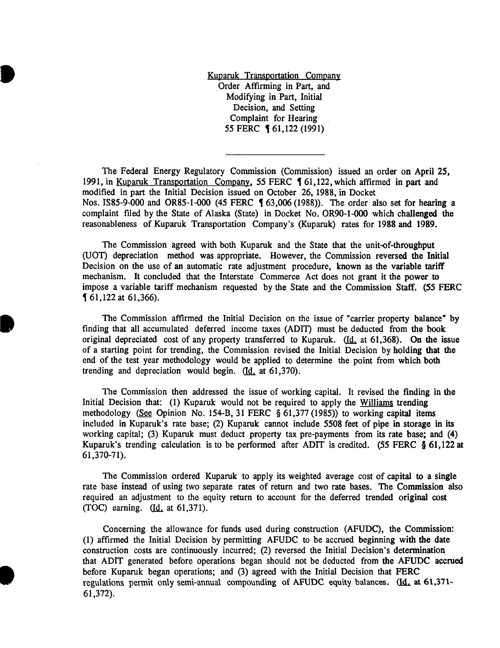Kuparuk Transportation Company . Order Affirming in Part, and Modifying in Part, Initial Decision, and Setting Complaint for Hearing 55 FERC **[61,122 (1991)** 

**•** 

**.** 

**•** 

The Federal Energy Regulatory Commission (Commission) issued an order on April 25, 1991, in Kuparuk Transportation Company, 55 FERC 161,122, which affirmed in part and modified in part the Initial Decision issued on October 26, 1988, in Docket Nos. IS85-9-000 and OR85-1-000 (45 FERC § 63,006 (1988)). The order also set for hearing a complaint filed by the State of Alaska (State) in Docket No. OR90-1-000 which challenged the reasonableness of Kuparuk Transportation Company's (Kuparuk) rates for 1988 and 1989.

The Commission agreed with both Kuparuk and the State that the unit-of-throughput (UOT) depreciation method was appropriate. However, the Commission reversed the Initial Decision on the use of an automatic rate adjustment procedure, known as the variable tariff mechanism. It concluded that the Interstate Commerce Act does not grant it the power to impose a variable tariff mechanism requested by the State and the Commission Staff. (55 FERC , 61,122 at 61,366).

The Commission affirmed the Initial Decision on the issue of "carrier property balance" by finding that all accumulated deferred income taxes (ADIT) must be deducted from the book original depreciated cost of any property transferred to Kuparuk. (Id. at 61,368). On the issue of a starting point for trending, the Commission revised the Initial Decision by holding that the end of the test year methodology would be applied to determine the point from which both trending and depreciation would begin.  $(d_i \text{ at } 61,370)$ .

The Commission then addressed the issue of working capital. It revised the finding in the Initial Decision that: (1) Kuparuk would not be required to apply the Williams trending methodology (See Opinion No. 154-B, 31 FERC § 61,377 (1985)) to working capital items included in Kuparuk's rate base; (2) Kuparuk cannot include 5508 feet of pipe in storage in its working capital; (3) Kuparuk must deduct property tax pre-payments from its rate base; and (4) Kuparuk's trending calculation is to be performed after ADIT is credited. (55 FERC § 61,122 at 61,370-71).

The Commission ordered Kuparuk to apply its weighted average cost of capital to a single rate base instead of using two separate rates of return and two rate bases. The Commission also required an adjustment to the equity return to account for the deferred trended original cost (TOC) earning.  $Id.$  at 61,371).</u>

Concerning the allowance for funds used during construction (AFUDC), the Commission: (1) affirmed the Initial Decision by permitting AFUDC to be accrued beginning with the date construction costs are continuously incurred; (2) reversed the Initial Decision's determination that ADIT generated before operations began should not be deducted from the AFUDC accrued before Kuparuk began operations; and (3) agreed with the Initial Decision that FERC regulations permit only semi-annual compounding of AFUDC equity balances.  $\underline{d}_1$  at 61,371-61,372).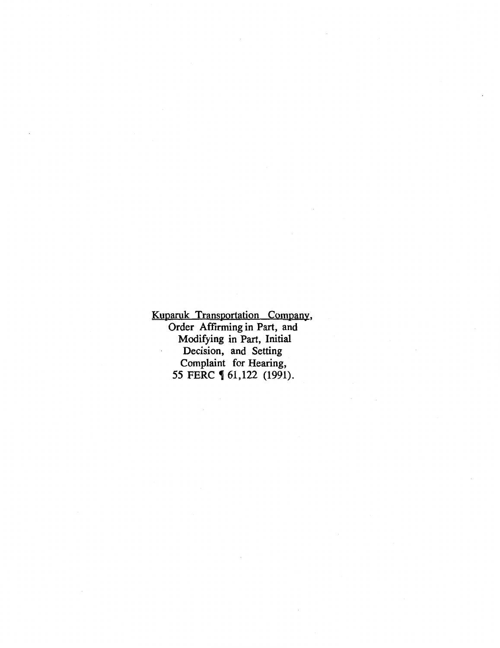Kuparuk Transportation Company, Order Affirming in Part, and Modifying in Part, Initial Decision, and Setting Complaint for Hearing, 55 FERC **[** 61,122 (1991).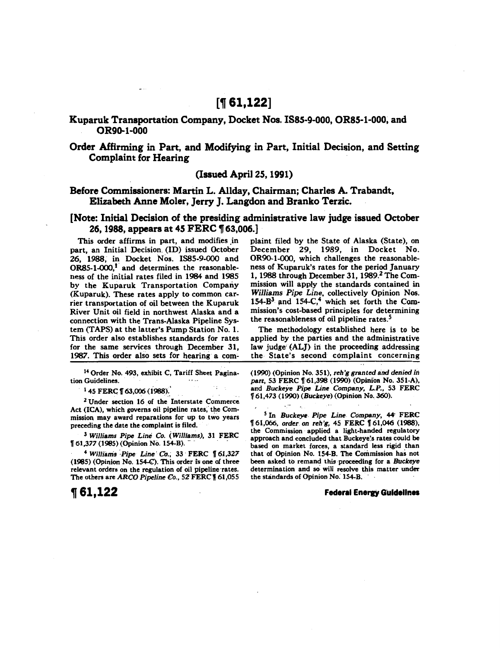# **['If 61,122]**

# Kuparuk Transportation Company, Docket Nos. ISSS-9-000, ORSS-1-000, and OR9o-1-000

# Order Affirming in Part, and Modifying in Part, Initial Decision, and Setting Complaint for Hearing

# (Issued April25, 1991)

# Before Commissioners: Martin L. Allday, Chairman; Charles A. Trabandt, Elizabeth Anne Moler, Jerry J. Langdon and Branko Terzic.

# [Note: Initial Decision of the presiding administrative law judge issued October 26, 1988, appears at 45 FERC ¶ 63,006.]

This order affirms in part, and modifies in part, an Initial Decision. (ID) issued October 26, 1988, in Docket Nos. ISBS-9-000 and  $OR85-1-000$ ,<sup>1</sup> and determines the reasonableness of the initial rates filed in 1984 and 1985 by the Kuparuk Transportation Company (Kuparuk). These rates apply to common carrier transportation of oil between the Kuparuk River Unit oil field in northwest Alaska and a connection with the Trans-Alaska Pipeline System(TAPS) at the latter's Pump Station No. 1. This order also establishes standards for rates for the same services through December 31, 1987. This order also sets for hearing a com-

14 Order No. 493, exhibit C, Tariff Sheet Pagination Guidelines.

 $145$  FERC  $[$  63,006 (1988).

 $2$  Under section 16 of the Interstate Commerce Act (ICA), which governs oil pipeline rates, the Commission may award reparations for up to two years preceding the date the complaint is filed.

3 *Williams Pipe Line Co. (Wiillams),* 31 FERC f 61,377 (1985) (Opinion No. 154-B). - · ·

<sup>4</sup>*WilJiiuris* ~Pipe *Line' Co.;* 33 · FERC f 61,327  $(1985)$  (Opinion No. 154-C). This order is one of three relevant orders on the regulation of oil pipeline rates. The others are *ARCO Pipeline Co.*, 52 FERC 161,055

plaint filed by the State of Alaska (State), on December 29, 1989, in Docket No. OR90-1-000, which challenges the reasonableness of Kuparuk's rates for the period January 1, 1988 through December 31, 1989.<sup>2</sup> The Commission will apply the standards contained in *Williams Pipe Line,* collectively Opinion Nos. 154-B<sup>3</sup> and 154-C,<sup>4</sup> which set forth the Commission's cost-based principles for determining the reasonableness of oil pipeline rates.<sup>5</sup>

The methodology established here is to be applied by the parties and the administrative law judge (ALJ) in the proceeding addressing the State's second complaint concerning

(1990) (Opinion No. 351), reh'g granted arid denied *in*  part, 53 FERC **f** 61,398 (1990) (Opinion No. 351-A), and *Buckeye Pipe Line* Company, *L.P.,* 53 FERC f 61,473 (1990) (Buckeye) (Opinion No. 360).

*s* In *Buckeye. Pipe Line* Company, 44· FERC f 61,066, order. on reh'g, 45 FERC f 61,046 (1988); the Commission applied a light-handed regulatory approach and concluded that Buckeye's rates could be based on market forces, a standard less rigid than that of Opinion No. 154-B. The Commission has not been asked to remand this proceeding for a *Buckeye*  determination and so will resolve this matter under the standards of Opinion No: 154-B.

### **Federal Energy Guidelines**

**'If 61,122**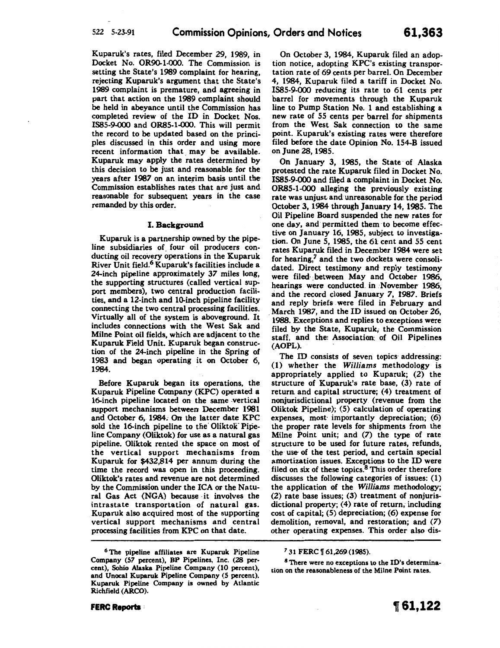Kuparuk's rates, filed December 29, 1989, in Docket No. OR90-1-000. The Commission is setting the State's 1989 complaint for hearing, rejecting Kuparuk's argument that the State's 1989 complaint is premature, and agreeing in part that action on the 1989 complaint should be held in abeyance until the Commission has completed review of the ID in Docket Nos. 1885-9-000 and ORB5-1-000. This will permit the record to be updated based on the principles discussed in this order and using more recent information that may be available. Kuparuk may apply the rates determined by this decision to be just and reasonable for the years after 1987 on an interim basis until the Commission establishes rates that are just and. reasonable for subsequent years in the case remanded by this order.

### I. Background

Kuparuk is a partnership owned by the pipeline subsidiaries of four oil producers conducting oil recovery operations in the Kuparuk River Unit field.<sup>6</sup> Kuparuk's facilities include a 24-inch pipeline approximately *37* miles long, the supporting structures (called vertical support members), two central production facilities, and a 12-inch and 10-inch pipeline facility connecting the two central processing facilities. Virtually all of the system is aboveground. It includes connections with the West Sak and Milne Point oil fields, which are adjacent to the Kuparuk Field Unit. Kuparuk began construction of the 24-inch pipeline in the Spring of 1983 and began operating it on October 6, 1984.

Before Kuparuk began its operations, the Kuparuk Pipeline Company (KPC) operated a 16-inch pipeline located on the same vertical support mechanisms between December 1981 and October 6, 1984. On the latter date KPC sold the 16-inch pipeline to the Oliktok Pipeline Company (Oliktok) for use as a natural gas pipeline. Oliktok rented the space on most of the vertical support mechanisms from Kuparuk for \$432,814 per annum during the time the record was open in this proceeding. Oliktok's rates and revenue are not determined by the Commission under the ICA or the Natural Gas Act (NGA) because ·it involves the intrastate transportation of natural gas. Kuparuk also acquired most of the supporting vertical support mechanisms and central processing facilities from KPC on that date.

On October 3, 1984, Kuparuk filed an adoption notice, adopting KPC's existing transportation rate of 69 cents per barrel. On December 4, 1984, Kuparuk filed a tariff in Docket No. 1885-9-000 reducing its rate to 61 cents per barrel for movements through the Kuparuk line to Pump Station No. 1 and establishing a new rate of 55 cents per barrel for shipments from the West Sak connection to the same point. Kuparuk's existing rates were therefore filed before the date Opinion No. 154-B issued on June 28, 1985.

On January 3, 1985, the State· of Alaska protested the rate Kuparuk filed in Docket No. IS85-9-000 and filed a complaint in Docket No. ORB5-1-000 alleging the previously existing rate was unjust and unreasonable for the period October 3, 1984 through January 14, 1985. The Oil Pipeline Board suspended the new rates for one day, and permitted them to become effective on January 16, 1985, subject to investigation. On June 5, 1985, the 61 cent and 55 cent rates Kuparuk filed in December 1984 were set for hearing,<sup>7</sup> and the two dockets were consolidated. Direct testimony and reply testimony were filed between May and October 1986. hearings were conducted. in November 1986, and the record closed January 7, 1987. Briefs and reply briefs . were filed in February and . March 1987, and the ID issued on October 26, 1988. Exceptions and replies to exceptions were filed by the State, Kuparuk, the Commission staff, and the: Association: of Oil Pipelines (AOPL).

The ID consists of seven topics addressing: (1) whether the *Williams* methodology is appropriately applied to Kuparuk; (2) the structure of Kuparuk's rate base, (3) rate of return and capital structure; (4) treatment of nonjurisdictional property. (revenue from the Oliktok Pipeline); (5) calculation of operating expenses, most· importantly depreciation; (6) the proper rate levels for shipments from the Milne Point unit; and (7) the type of rate structure to be used for future rates, refunds, the use of the test period, and certain special amortization issues. Exceptions to the ID were filed on six of these topics.8 This order therefore discusses the following categories of issues: (1) the application of the *Williams* methodology; (2) rate base issues; (3) treatment of nonjurisdictional property; (4) rate of return, including cost of capital; (5) depreciation; (6) expense for demolition, removal, and restoration; and (7) other operating expenses. This order also dis-

*<sup>6</sup>* The pipeline affiliates are Kuparuk Pipeline Company (57 percent), BP Pipelines, Inc. (28 per· cent), Sohio Alaska Pipeline Company (10 percent), and Unocal Kuparuk Pipeline Company (5 percent). Kuparuk Pipeline Company is owned by Atlantic Richfield (ARCO).

<sup>&</sup>lt;sup>7</sup> 31 FERC 1 61, 269 (1985).

<sup>8</sup> There were no exceptions to the ID's determination on the reasonableness of the Milne Point rates.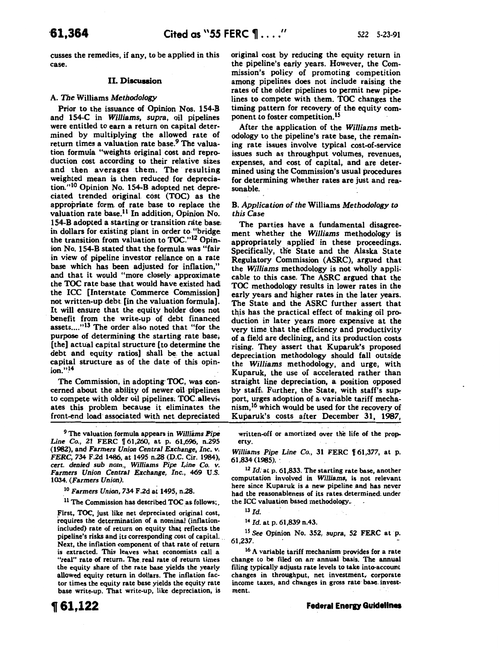cusses the remedies, if any, to be applied in this case.

### II. Discussion

### A. *The* Williams *Methodology*

Prior to the issuance of Opinion Nos. 154-B and 154-C in *Williams,* supra, oil pipelines were entitled to earn a return on capital determined by multiplying the allowed rate of return times a valuation rate base.<sup>9</sup> The valuation formula "weights original cost and reproduction cost according to their relative sizes and then averages them. The resulting weighted mean is then reduced for depreciation."<sup>10</sup> Opinion No. 154-B adopted net depreciated trended original cost (TOC) as the appropriate form of rate base to replace the valuation rate base.11 In addition; Opinion No. 154-B adopted a starting or transition rate base; in dollars for existing plant in order to "bridge the transition from valuation to TOC."<sup>12</sup> Opinion No. 154-B stated that the formula was "fair in view of pipeline investor reliance on a rate base which has been adjusted for inflation," and that it would "more closely approximate the TOC rate base that would have existed had the ICC [Interstate Commerce Commission] not written-up debt [in the valuation formula]. It will ensure that the equity holder does not benefit from the write-up of debt financed assets...."<sup>13</sup> The order also noted that "for the purpose of determining the starting rate base, [the] actual capital structure [to determine the debt and equity ratios] shall be. the actual capital structure as of the date of this opin  $ion.$ " $^{14}$ 

The Commission, in adopting· TOC, was concerned about the ability of newer oil· pipelines to compete with older oil pipelines. TOC alleviates this problem because it eliminates the front-end load associated with net depreciated

9 The valuation formula appears in *Williams Pipe Line Co.*, 21 FERC  $\llbracket 61,260,$  at p. 61,696, n.295 (1982), and Farmers *Unipn Central Exchange, Inc. v. FERC,* 734 F.2d 1486, at 1495 n.28 (D.C. Cir. 1984), *cert. denied sub nom., Williams Pipe* ~ine Co. *v.* Farmers *Union Central Exchange,. Inc.,* 469 U.S. 1034. (Farmers *Union).* 

10 Farmers *Union,* 734 F.2d at 1495, n.28.

 $11$  The Commission has described TOC as follows;

First, TOC, just like net depreciated original cost, requires the determination of a nominal (inflationincluded) rate of return on equity that reflects the pipeline's risks and its corresponding cost of capital. . Next, the inflation component of that rate of return is extracted. This leaves what economists call a "real" rate of return. The real rate of return times the equity share of the rate base yields the yearly allowed equity return in dollars. The inflation factor times the equity rate base yields the equity rate base write-up. That write-up, like depreciation, is

**1[61,122** 

original cost by reducing the equity return in the pipeline's early years. However, the Commission's policy of promoting competition among pipelines does not include raising the rates of the older pipelines to permit new pipelines to compete with them. TOC changes the timing pattern for recovery of the equity component to foster competition.<sup>15</sup>

After the application of the *Williams* methodology to the pipeline's rate base, the remaining rate issues involve typical cost-of-service issues such as throughput volumes, revenues, expenses, and cost of capital, and are determined using the Commission's usual procedures for determining whether rates are just and reasonable.

#### B. *Application of the* Williams *Methodology* to *this* Case

The parties have a fundamental disagreement whether the *Williams* methodology is appropriately applied in these proceedings. Specifically, the State and the Alaska State Regulatory Commission (ASRC), argued that the *Williams* methodology is not wholly appli~ cable to this case. The ASRC argued that the TOC methodology results in lower rates in the early years and higher rates in the later years. The State and the ASRC further assert that this has the practical effect of making oil production in later years more expensive at the very time that the efficiency and productivity of a field are declining, and its production costs rising. They assert that Kuparuk's proposed depreciation methodology should fall outside the *Williams* methodology, and urge, with Kuparuk, the use of accelerated rather than straight line depreciation, a position opposed by staff. Further, the State, with staff's support, urges adoption of a· variable tariff mechanism, <sup>16</sup> which would be used for the recovery of Kuparuk's costs after December 31, 1987,

written-off or amortized over the life of the prop. erty.

*Williams Pipe Line Co.*, 31 FERC 161,377, at p. 61,834 (1985).

<sup>12</sup>*Id:* at p. 61,833. The starting rate base, another computation involved in *Williams,* is not relevant here since Kuparuk is a new pipeline and has never had the reasonableness of its rates. determined: under the ICC valuation based methodology.

<sup>13</sup>*Id.* 

<sup>14</sup>*Id.* at p. 61,839 n.43.

15 See Opinion No. 352, *supra,* 52 FERC at p. 61,237.

<sup>16</sup> A variable tariff mechanism provides for a rate change to be filed on an annual basis. The annual filing typically adjusts rate levels to take into·account changes in throughput, net investment, corporate income taxes, and changes in gross rate base. investment.

**Federal Energy Guidelines**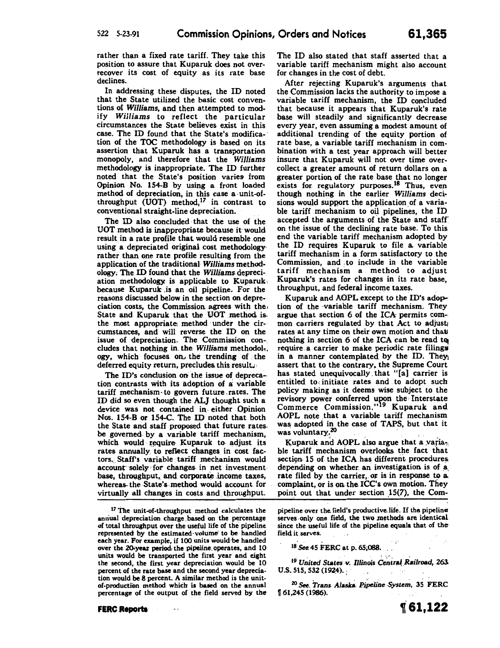rather than a fixed rate tariff. They take this position to assure that Kuparuk does not overrecover its cost of equity as its rate base declines.

In addressing these disputes, the ID noted that the State utilized the basic cost conventions of *Williams,* and then attempted to modify *Williams* to reflect the particular circumstances the State believes exist in this case. The ID found that the State's modification of the TOC methodology is based on its assertion that Kuparuk has a transportation monopoly, and therefore that the *Williams*  methodology is inappropriate. The ID further noted that the State's position varies from Opinion No. 154-B by using a front loaded method of depreciation, in this case a -unit-ofthroughput  $(\overline{UOT})$  method,<sup>17</sup> in contrast to conventional straight-line depreciation.

The ID also concluded that the use of the UOT method is inappropriate because it· would result in a rate profile that would resemble one using a depreciated original cost methodology· rather than one rate profile resulting from the application of the traditional *Williams* methodology; The ID found that the *Williams* depreciation methodology is applicable to Kuparuk, because Kuparuk .is an oil pipeline. For the reasons discussed below in the section on depreciation costs, the Commission agrees with the, State and Kuparuk that the UOT method isthe most appropriate method under the circumstances, and will reverse the ID on the issue of depreciation. The Commission concludes that nothing in. the *Williams* methodol,. ogy, which focuses on the trending of the deferred equity return, precludes this result.

The ID's conclusion on the issue of deprecation contrasts with its adoption of a variable tariff mechanism· to govern future. rates. The ID did so even though the ALI thought such a device was not contained in- either Opinion Nos. 154-B or 154-C. The ID noted that both the State and staff proposed that future rates. be governed. by a variable tariff mechanism, which would require Kuparuk to adjust its rates annually. to reflect changes in cost factors. Staff's variable tariff mechanism would account solely for changes in net investment base, throughput, and corporate income taxes, whereas the State's method would account for virtually all changes in costs and throughput.

 $17$  The unit-of-throughput method calculates the annual depreciation charge based on the percentage of total throughput over the useful life of the pipeline represented by the estimated-volume' to be handled each year. For example, if 100 units would·be handled over the 20-year period the pipeline operates, and 10 units would be transported the first year and eisht the second, the first year depreciation would be 10 percent of the rate base and the second year depreciation would be 8 percent. A similar method is the unitof-production method which is based on the annual percentage of the output of the field served by the

 $\sim$   $\sigma$ 

**FERC Reports** 

The ID also stated that staff asserted that a variable tariff mechanism might also account for changes in the cost of debt.

After rejecting Kuparuk's arguments that the Commission lacks the authority to impose a variable tariff mechanism, the ID concluded that because it appears that Kuparuk's rate base will steadily and significantly decrease every year, even assuming a modest amount of additional trending of the equity portion of rate base, a variable tariff mechanism in combination with a test year approach will better insure that Kuparuk will not over time overcollect a greater amount of return dollars on a greater portion of the rate base that no longer exists for regulatory purposes.<sup>18</sup> Thus, even though nothing in the earlier *Williams* deci· sions would support the application of a variable tariff mechanism to oil pipelines, the ID accepted the arguments of the State and staff on the issue of the declining rate base. To this end the variable tariff mechanism adopted by the ID requires Kuparuk to file a. variable tariff mechanism in a form satisfactory to the Commission, and to include in the variable tariff mechanism a method to adjust Kuparuk's rates for changes in its rate base, throughput, and federal income taxes.

Kuparuk and AOPL except to the ID's adoption of the ·variable tariff mechanism. They argue that section 6 of the ICA permits common carriers regulated by that Act to adjust; rates at any time on their own motion and that nothing in section  $6$  of the ICA can be read to require .a carrier to make periodic rate filings in a manner contemplated by the ID. They assert that to the contrary. the Supreme Court has stated unequivocally. that "[a) carrier is entitled to initiate rates and to adopt such policy making as it deems wise subject to the revisory power conferred upon the Interstate Commerce Commission."<sup>19</sup> Kuparuk and AOPL note that a variable tariff mechanism was adopted in the case of TAPS, but that it was voluntary.<sup>20</sup>

Kuparuk and AOPL also argue that a varia-. ble tariff mechanism overlooks the fact that section- 15 of the ICA has different procedures, depending on whether an investigation is of a. rate filed by the carrier, or is in response to a. complaint, or is on the ICC's own motion. They point out that under section  $15(7)$ , the Com-

pipeline over the field's productive life. If the pipeline serves only one field, the two methods are identical since the useful life of the pipeline equals that of thefield it serves.

<sup>18</sup> See 45 FERC at p. 65,088.

<sup>19</sup> United States v. Illinois Central Railroad, 263.  $U.S. 515, 532(1924).$ 

<sup>20</sup> See, *Trans Alaska Pipeline System*, 35 FERC 1f 61,245 (1986).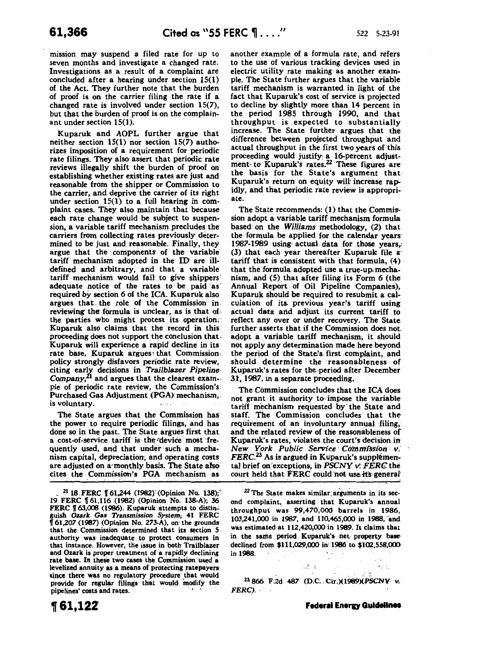mission may suspend a filed rate for up to seven months and investigate a changed rate. Investigations as a result of a complaint are concluded after a hearing under section 15(1) of the Act. They further note that the burden of proof is on the carrier filing the rate if a changed rate is involved under section 15(7), but that the burden of proof is on the complainant under section 15(1).

Kuparuk and AOPL further argue that neither section 15(1) nor section 15(7) authorizes imposition of a requirement for periodic rate filings. They also assert that periodic rate reviews illegally shift the burden of proof on establishing whether existing rates are just and reasonable from the shipper or Commission to the carrier, and deprive the carrier of its right under section 15(1) to a full hearing in complaint cases. They also maintain that because each rate change would be subject to suspension, a variable tariff mechanism precludes the carriers from collecting rates previously determined to be just and reasonable. Finally, they argue that the components of the variable tariff mechanism adopted in the ID are illdefined and arbitrary, and that a variable tariff mechanism would fail to give shippers' adequate notice of the rates to be paid as required by section 6 of the ICA. Kuparuk also argues that. the role of the Commission in • reviewing the formula is unclear, as is that of. the parties who might protest its operation:· Kuparuk also claims that the record in this· proceeding does not support the conclusion that. Kuparuk will experience a rapid decline in its rate base. Kuparuk argues that Commission. policy strongly disfavors periodic rate review, citing early decisions in *Trailblazer. Pipeline· Company,tl* and argues that the clearest exam-. pie of periodic rate review, the Commission's. Purchased Gas Adjustment (PGA) mechanism,. is voluntary.

The State argues that the Commission has the power to require periodic filings, and has done so in the past. The State argues first that a cost-of-service tariff is the device most frequently used, and that under such a mechanism capital, depreciation, and operating costs are adjusted on a· monthly basis. The State alsocites. the Commission's PGA mechanism as

 $21$  18. FERC 161.244 (1982) (Opinion No. 138); 19 FERC 1f 61,116 (1982) (Opinion No. 138-A); 36 FERC § 63,008 (1986). Kuparuk attempts to distinguish *Ozark Gas Transmission System,* 41 FERC  $\int$  61,207 (1987) (Opinion No. 273-A), on the grounds that the Commission determined that its section 5 authority was inadequate to protect consumers in that instance. However, the issue in both Trailblazer and Ozark is proper treatment of a rapidly declining rate base. In these two cases the Commission used a levelized annuity as a means of protecting ratepayers· since there was no regulatory procedure that would provide for regular filings that would modify the pipelines' costs and rates.

another example of a formula rate, and refers to the use of various tracking devices used in electric utility rate making as another example. The State further argues that the variable tariff mechanism is warranted in light of the fact that Kuparuk's cost of service is projected to decline by slightly more than 14 percent in the period 1985 through 1990, and that throughput is expected to substantially increase. The State further argues that the difference between projected throughput and actual throughput in the first two years of this proceeding would justify: a 16-percent adjustment- to Kuparuk's rates.<sup>22</sup> These figures are the basis for the State's argument that· Kuparuk's return on equity will' increase rapidly, and that periodic rate review is appropriate.

The State recommends: (1) that the Commission adopt a variable tariff mechanism formula based· on the *Williams* methodology, (2) that the formula be applied for the .calendar years· 1987-1989 using actual data for those years, (3) that each year thereafter Kuparuk file a· tariff that is consistent with that formula, (4) that the formula adopted use a true-up' mechanism, and (5) that after filing its Form 6 (the Annual Report of Oil Pipeline Companies), Kuparuk should be required to resubmit a calculation of its previous year's tariff using. actual data arid adjust its current tariff to reflect any over or under recovery. The State further asserts that if the Commission does not adopt a variable tariff mechanism; it should not apply any determination made here beyond the period of the State's first complaint, and should determine the reasonableness of Kuparuk's rates for the period after December 31, 1987, in a separate proceeding.

The Commission concludes that the ICA does not grant it authority to' impose the variable tariff mechanism requested by' the State and staff. The Commission concludes that the requirement of an involuntary annual filing, and the related review of the reasonableness of Kuparuk's rates, violates the court's decision in New *York Public Service· Commission- -v:*  FERC.<sup>23</sup> As is argued in Kuparuk's supplemental brief on exceptions, in *PSCNY v. FERC* the court held that FERC could not use its general

 $22$  The State makes similar arguments in its second complaint, asserting that Kuparuk's annual throughput was 99,470,000 barrels in 1986, 103,241,000 in 1987, and 110,465,000 in 1988, and was estimated at 112,420,000 in 1989. It claims that in the same period Kuparuk's net-property basedeclined from \$111,029,000 in' 1986 to \$102,558,000 in 1988.

23866 F.2d 487 (D.C~. Cir.)(1989)(PSCNY· *v.*  FERC).

 $\mathcal{A}^I$  .  $\mathcal{C}$  ,

. -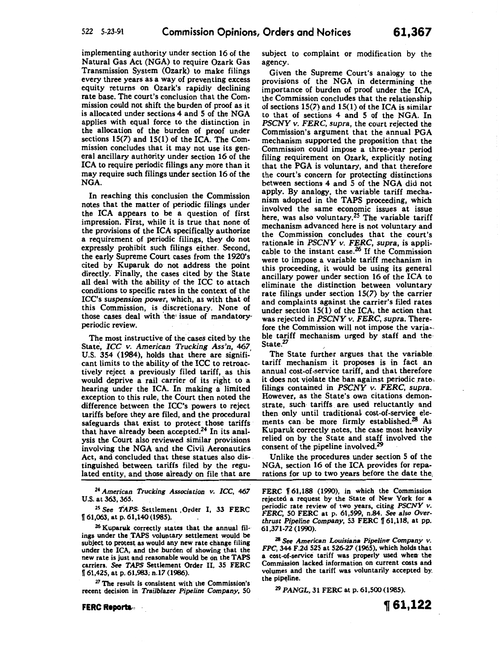implementing authority under section 16 of the Natural Gas Act (NGA) to require Ozark Gas Transmission System (Ozark) to make filings every three years as a way of preventing excess equity returns on Ozark's rapidly declining rate base. The court's conclusion that the Commission could not shift the burden of proof as it is allocated under sections 4 and 5 of the NGA applies with equal force to the distinction in the allocation of the burden of proof under sections 15(7) and 15(1) of the ICA. The Commission concludes that it may not use its general ancillary authority under section 16 of the ICA to require periodic filings any more than it may require such filings under section 16 of the NGA.

In reaching this conclusion the Commission notes that the matter of periodic filings under the ICA appears to be a question of first impression. First, while it is true that none of the provisions of the ICA specifically authorize a requirement of periodic filings, they do not expressly prohibit such filings either. Second, the early Supreme Court cases from the 1920's cited by Kuparuk do not address the point directly. Finally, the cases cited by the State all deal with the ability of the ICC to attach conditions to specific rates in the context of the ICC's *suspension power,* which, as with thai of this Commission, is discretionary. None of those cases deal with the issue of mandatoryperiodic review.

The most instructive of the cases cited by the State, *ICC* v. *American Trucking Ass'n, 467,*  U.S. 354 (1984), holds that there are significant limits to the ability of the ICC to retroactively reject a previously filed tariff, as this would deprive a rail carrier of its right to a hearing under the ICA. In making a limited exception to this rule, the Court then noted the difference between the ICC's powers to reject tariffs before they are filed, and the procedural safeguards that exist to protect those tariffs that have already been accepted.24 In its analysis the Court also reviewed similar provisions involving the NGA and the Civil. Aeronautics Act, and concluded that these statues also dis· tinguished between tariffs filed by the regulated entity, and those already *on* file that are

24 *American Trucking Association v. ICC,* 467 U.S. at 363, 365.

<sup>2</sup>5 See *TAPS.* Settlement , Order I, 33 FERC  $\P$  61,063, at p. 61,140 (1985).

26 Kuparuk correctly states that the annual fil. ings under the TAPS voluntary settlement would be subject to protest as would any new rate change filing under the ICA, and the burden of showing that the new rate is just and reasonable would be on the TAPS carriers. *See TAPS* Settlement Order II, 35 FERC n 61,425, at p. 61,983; n.17 (1986).

<sup>27</sup> The result is consistent with the Commission's recent decision in *Trailblazer Pipeline Company,* 50 subject to complaint or modification by the agency.

Given the Supreme Court's analogy to the provisions of the NGA in determining the importance of burden of proof under the ICA, the Commission concludes that the relationship of sections  $15(7)$  and  $15(1)$  of the ICA is similar to that of sections 4 and 5 of the NGA. In *PSCNY* v. *FERC, supra,* the court rejected the Commission's argument that the annual PGA mechanism supported the proposition that the Commission could impose a three-year period filing requirement on Ozark, explicitly noting that the PGA is voluntary, and that therefore the court's concern for protecting distinctions between sections 4 and 5 of the NGA did not apply. By analogy, the variable tariff mechanism adopted in the TAPS proceeding, which involved the same economic issues at issue here, was also voluntary.<sup>25</sup> The variable tariff mechanism advanced here is not voluntary and the Commission concludes that the court's rationale in *PSCNY v. FERC, supra,* is applicable to the instant case.26 If the Commission were to impose a variable tariff mechanism in this proceeding, it would be using its general ancillary power under section 16 of the ICA to eliminate the distinction between voluntary rate filings under section 15(7) by the carrier and complaints against. the carrier's filed rates under section  $15(1)$  of the ICA, the action that was rejected in *PSCNY* v. *FERC, supra.* Therefore the Commission will not impose the variable tariff mechanism urged by staff and the· State.<sup>27</sup>

The State further argues that the variable tariff mechanism it proposes is in fact an annual cost-of.service tariff, and that therefore it does not violate the ban against periodic rate. filings contained in *PSCNY v. FERC, supra.*  However, as the State's own citations demonstrate, such· tariffs are: used reluctantly and then only until traditional cost-of-service elements can be more firmly established.<sup>28</sup> As Kuparuk correctly notes, the case most heavily relied on by the State and staff involved the consent of the pipeline involved.<sup>29</sup>

Unlike the procedures under section 5 of the NGA, section 16 of the ICA provides for reparations for up to two years before the date the,

FERC 161,188 (1990), in which the Commission rejected a request by the State of New York for a periodic rate review of two years, citing *PSCNY v.*  FERC, 50 FERC at p. 61,599, n.84. *See* also *Overthrust Pipeline Company,* 53 FERC [61,118, at pp. 61,371-72 (1990).

28 See *American Louisiana Pipeline Company v.*  FPC, 344 F.2d 525 at 526-27 (1965), which holds that a cost-of-service tariff was properly used when the Commission lacked information on current costs and volumes and the tariff was voluntarily accepted by the pipeline.

Z9 *PANGL,* 31 FERC at p. 61,500 (1985).

**FERC Reporta.,** ·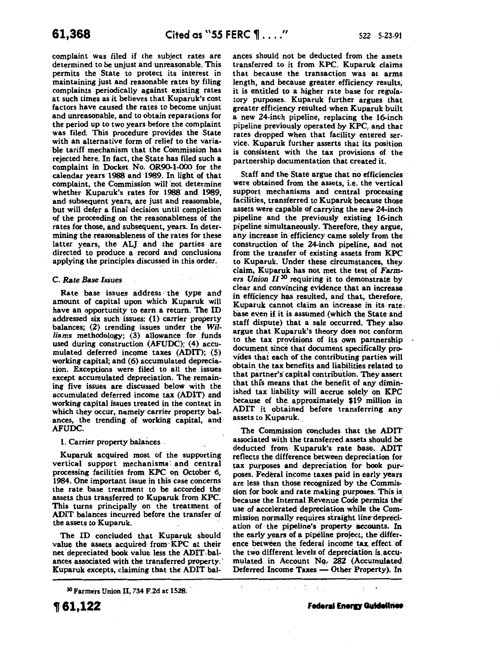complaint was filed if the subject rates are determined to be unjust and unreasonable. This permits the State to protect its interest in maintaining just and reasonable rates by filing complaints periodically against existing rates at such times as it believes that Kuparuk's cost factors have caused the rates to become unjust and unreasonable, and to obtain reparations for the period up to two years before the complaint was filed. This procedure provides the State with an alternative form of relief to the variable tariff mechanism that the Commission has rejected here. In fact, the State has filed such a complaint in Docket No. OR90-1-000 for the calendar years 1988 and 1989. In light of that complaint, the Commission will 'not determine whether Kuparuk's rates for 1988 and 1989, and subsequent years, are just and reasonable, but will defer a final decision until completion of the proceeding on the reasonableness of the rates for those, and subsequent, years. In determining the reasonableness of the rates for these latter years, the ALJ and the parties are directed to produce a record and· conclusions applying the principles discussed in this order.

#### C. *Rate Base Issues*

Rate base issues address the type and amount of capital upon which Kuparuk will have an opportunity to earn a return. The ID addressed six such issues: (1) carrier property balances; (2) trending issues under the *Williams* methodology; (3) allowance for funds used during construction (AFUDC); (4) accumulated deferred income taxes (ADIT); (5) working capital; and (6) accumulated depreciation. Exceptions were filed to all the issues except accumulated depreciation. The remaining five issues are discussed below with the accumulated deferred income tax (ADIT) and working capital issues treated in the context in which they occur, namely carrier property balances, the trending of working capital, and· AFUDC.

1. Carrier property balances

Kuparuk acquired most of the supporting vertical support mechanisms: and central processing facilities from KPC on October 6, 1984. One important issue in this case concerns the rate base treatment to be accorded the assets thus transferred to Kuparuk. from KPC. This turns principally on the treatment of ADIT balances incurred before the transfer of the assets to Kuparuk.

The ID concluded that Kuparuk should value the assets acquired from KPC at their net depreciated book value less the ADIT. balances associated with the transferred property. Kuparuk excepts, claiming that the ADIT bal-

<sup>30</sup> Farmers Union II, 734 F.2d at 1528:

**161,122** 

ances should not be deducted from the assets transferred to it from KPC. Kuparuk claims that because the transaction was at arms length, and because greater efficiency results, it is entitled to a higher rate base for regulatory purposes. Kuparuk further argues that greater efficiency resulted when Kuparuk built a new 24-inch pipeline, replacing the 16-inch pipeline previously operated by KPC, and that rates dropped when that facility entered service. Kuparuk further asserts that its position is consistent with the tax provisions of the partnership documentation that created it.

Staff and the State argue that no efficiencies were obtained from the assets, *i.e.* the vertical support mechanisms and central processing facilities, transferred to Kuparuk because those assets were capable of carrying the new 24-inch pipeline and the previously existing 16-inch pipeline simultaneously. Therefore, they argue, any increase in efficiency came solely from the construction of the 24-inch pipeline, and not from the transfer of existing assets from KPC to Kuparuk. Under these circumstances, they. claim, Kuparuk has not met the test of Farm*ers Union II*<sup>30</sup> requiring it to demonstrate by clear and convincing evidence that an increase. in efficiency has resulted, and that, therefore, Kuparuk cannot claim an increase in its-rate: base even if it is assumed (which the State and staff dispute) that a sale occurred. They also. argue that Kuparuk's theory does not conform to the tax provisions of its own partnership document since that document specifically provides that each of the contributing parties will obtain the tax benefits and liabilities related to that partner's capital contribution. They assert that this means that the benefit of any diminished tax liability will accrue solely on KPC because of the approximately \$19 million in ADIT it obtained before transferring any assets to Kuparuk.

The Commission concludes that the ADIT associated with the transferred assets should be deducted from Kuparuk's rate base. ADIT reflects the difference between depreciation for tax purposes and depreciation for book purposes. Federal income taxes paid in early years are less than those recognized by the Commission for book and rate making purposes. This is because the Internal Revenue Code permits the' use of accelerated depreciation while the Commissipn normally requires straight line·depreciation of the pipeline's property accounts. In the early years of a pipeline project; the difference between the federal income tax effect'of the two different levels of depreciation is accumulated in Account Nq, 282 (Accumulated. Deferred Income Taxes. - Other Property). In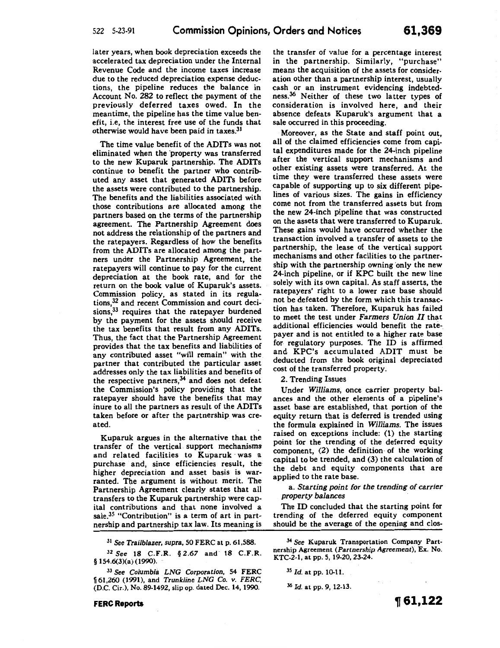later years, when book depreciation exceeds the accelerated tax depreciation under the Internal Revenue Code and the income taxes increase due to the reduced depreciation expense deductions, the pipeline reduces the balance in Account No. 282 to reflect the payment of the previously deferred taxes owed. In the meantime, the pipeline has the time value benefit, i.e, the interest free use of the funds that otherwise would have been paid in taxes.31

The time value benefit of the ADITs was not eliminated when the property was transferred to the new Kuparuk partnership. The ADITs continue to benefit the partner who contributed any asset that generated ADITs before the assets were contributed to the partnership. The benefits and the liabilities associated with those contributions are allocated among the partners based on the terms of the partnership agreement. The Partnership Agreement does not address the relationship of the partners and the ratepayers. Regardless of how the benefits from the ADITs are allocated among the partners under the Partnership Agreement, the ratepayers will continue to pay for the current depreciation at the book rate, and for the return on the book value of Kuparuk's assets. Commission policy, as stated in its regulations,32 and recent Commission and court decisions,<sup>33</sup> requires that the ratepayer burdened by the payment for the assets should receive the tax benefits that result from any ADITs. Thus, the fact that the Partnership Agreement provides that the tax benefits and liabilities of any contributed asset "will remain" with the partner that contributed the particular asset addresses only the tax liabilities and benefits of the respective partners, $34$  and does not defeat the Commission's policy providing that the ratepayer should have the benefits that may inure to all the partners as result of the ADITs taken before or after the partnership was created.

Kuparuk argues in the alternative that the transfer of the vertical support mechanisms and related facilities to Kuparuk was a purchase and, since efficiencies result, the higher depreciation and asset basis is warranted. Tbe argument is without merit. The Partnership Agreement clearly states that all transfers to the Kuparuk partnership were capital contributions and that none involved a sale.<sup>35</sup> "Contribution" is a term of art in partnership and partnership tax law. Its meaning is

3l *See Trailblazer, supra,* 50 FERC at p. 61,588.

<sup>32</sup>*See* 18 C.F.R. § *2.67* and 18 C.F.R. § 154.6(3)(a) (1990).

<sup>33</sup>*See Columbia LNG Corporation,* 54 FERC <sup>~</sup>61,260 (1991), and *Trunkline LNG* Co. *v. FERC,*  (D.C. Cir.), No. 89-1492, slip op. dated Dec. 14, 1990.

**FERC Reports** 

the transfer of value for a percentage interest in the partnership. Similarly, "purchase" means the acquisition of the assets for consideration other than a partnership interest, usually cash or an instrument evidencing indebtedness.<sup>36</sup> Neither of these two latter types of consideration is involved here, and their absence defeats Kuparuk's argument that a sale occurred in this proceeding.

Moreover, as the State and staff point out, all of the claimed efficiencies come from capital expenditures made for the 24-inch pipeline after the vertical support mechanisms and other existing assets were transferred. At the time they were transferred these assets were capable of supporting up to six different pipelines of various sizes. The gains in efficiency come not from the transferred assets but from the new 24-inch pipeline that was constructed on the assets that were transferred to Kuparuk. These gains would have occurred whether the transaction involved a transfer of assets to the partnership, the lease of the vertical support mechanisms and other facilities to the partnership with the partnership owning only the new 24-inch pipeline, or if KPC built the new line solely with its own capital. As staff asserts, the ratepayers' right to a lower rate base should not be defeated by the form which this transaction has taken. Therefore, Kuparuk has failed to meet the test under *Farmers Union II* that additional efficiencies would benefit the ratepayer and is not entitled to a higher rate base for. regulatory purposes. The ID is affirmed and KPC's accumulated ADIT must be deducted from the book original depreciated cost of the transferred property.

2. Trending Issues

Under *Williams,* once carrier property balances and the other elements of a pipeline's asset base are established, that portion of the equity return that is deferred is trended using the formula explained in *Williams.* The issues raised on exceptions include: (1) the starting point for the trending of the deferred equity component, (2) the definition· of the working capital to be trended, and (3) the calculation of the debt and equity components that are applied to the rate base.

a. *Starting point for the trending of carrier property balances* 

The ID concluded that the starting point for trending of the deferred equity component should be the average of the opening and clos-

34 *See* Kuparuk Transportation Company Partnership Agreement *(Partnership* Agreement), Ex. No. KTC-2-1, at pp. 5, 19-20, 23-24.

<sup>35</sup>*Id.* at pp. 10.11.

<sup>36</sup>*Id.* at pp. 9, 12-13.

**,61,122**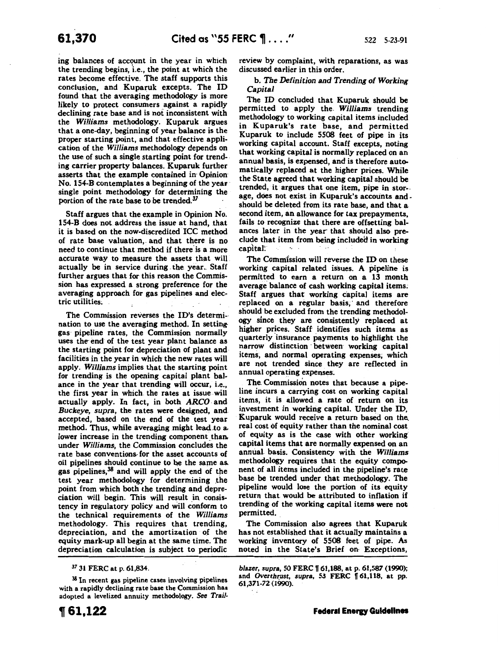ing balances of account in the year in which the trending begins, i.e., the point at which the rates become effective. The staff supports this conclusion, and Kuparuk excepts. The ID found that the averaging methodology is more likely to protect consumers against a rapidly declining rate base and is not inconsistent with the *Williams* methodology. Kuparuk argues that a one-day, beginning of year balance is the proper starting point, and that effective application of the *Williams* methodology depends on the use of such a single starting point for trending carrier property balances. Kuparuk further asserts that the example contained in· Opinion· No. 154-B contemplates a beginning of the year· single point methodology for determining the portion of the rate base to be trended.37

Staff argues that the example in Opinion No. 154-B does not. address the issue at hand, that it is based on the now-discredited ICC method of rate base valuation,. and that there is no need to continue that method if there is a more accurate way to measure the assets that will actually be in service during . the year.. Staff further argues that for this reason the Commission has expressed a strong preference for the averaging approach for gas pipelines and electric utilities.

The Commission reverses the ID's determi-· nation to use the averaging method. In settinggas pipeline rates, the Commission normally uses the end of the test year plant balance as the starting point for depreciation of plant and· facilities in the year in which the new rates will apply. *Williams* implies that the starting point for trending is the opening capital plant balance in the year that trending will occur, i.e., the first year in which the rates at issue will actually apply. In fact, in both ARCO and *Buckeye, supra,* the rates were designed, and accepted, based on the end of the test year method. Thus, while averaging might lead to a. lower increase in the trending component than. under *Williams,* the Commission concludes the rate base conventions for the asset accounts of oil pipelines should continue to be the same as. gas pipelines,38 and will apply the end of the test year methodology for determining the point from which both the trending and depreciation will begin. This will result in consistency in regulatory policy and will conform to the technical requirements of the *Williams*  methodology. This requires that trending, depreciation, and the amortization· of the equity mark-up all begin at the same time. The depreciation calculation is subject to periodic

<sup>37</sup>31 FERC at p. 61,834.

 $38$  In recent gas pipeline cases involving pipelines with a rapidly declining rate base the Commission has adopted a levelized annuity methodology. *See Trail-* review by complaint, with reparations, as was discussed earlier in this order.

b. *The Definition and Trending of Working Capital* 

The ID concluded that Kuparuk should be permitted to apply the. *Williams* trending methodology to working capital items included in Kuparuk's rate base, and permitted Kuparuk to include 5508 feet of pipe in its working capital account. Staff excepts, noting that working capital is normally replaced on an annual basis, is expensed, and is therefore automatically replaced at the higher prices. While the State agreed that working capital should be trended, it argues that one item, pipe in stor-. age, does not exist in Kuparuk's accounts and. should be deleted from its rate base, and that a second item, an allowance for tax prepayments, fails to recognize that there are offsetting balances later in the year that should also preclude that item from being included in working capitar: ·· · · ·· . •

The Commission will reverse the ID on these working capital related issues. A pipeline is permitted to earn a return on a 13 month average balance of cash working capital items; Staff argues that working capital items are replaced on a regular basis, and therefore should be excluded from the trending methodology since they are consistently replaced at higher prices. Staff identifies such items as quarterly insurance payments to highlight the narrow distinction between working capital items; and. normal operating expenses; which are not trended since they are reflected in annual operating expenses.

The. Commission notes that because a pipeline incurs a carrying cost on working capital items, it is allowed a rate of return on its investment in working capital. Under the ID, Kuparuk would receive a return based on the\_ real cost of equity rather than the nominal cost of equity as is the case with other working capital items that are normally expensed on an annual basis. Consistency with the *Williams*  methodology requires that the equity component of all items included in the pipeline's rate base be trended under that methodology. The pipeline would lose the portion of its equity return that would be attributed to inflation if trending of the working capital items were not permitted.

The Commission also agrees that Kuparuk has not established that it actually maintains a working inventory of 5508 feet of pipe. As noted in the State's Brief on· Exceptions,

*blazer, supra, 50 FERC* 161,188, at p. 61,587 (1990); and Overthrust, supra, 53 FERC [61,118, at pp. 61,371-72 (1990).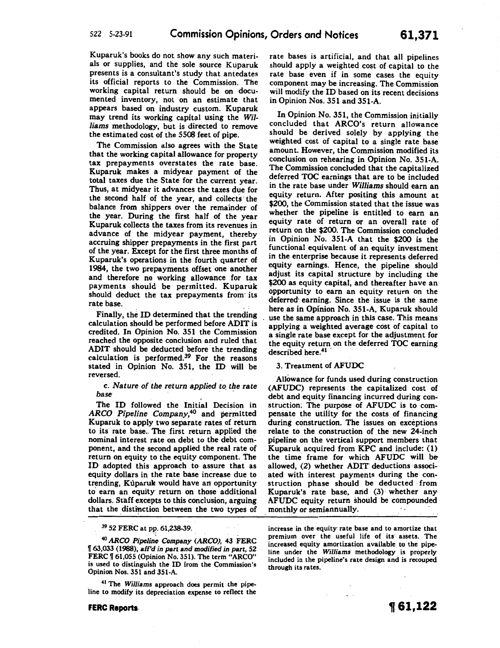Kuparuk's books do not show any such materials or supplies, and the sole source Kuparuk presents is a consultant's study that antedates its official reports to the Commission. The working capital return should be on documented inventory, not on an estimate that appears based on industry custom. Kuparuk may trend its working capital using the *Williams* methodology, but is directed to remove the estimated cost of the 5508 feet of pipe.

The Commission also agrees with the State that the working capital allowance for property tax prepayments overstates the rate base. Kuparuk makes a midyear payment of the total taxes due the State for the current year. Thus, at midyear it advances the taxes due for the second half of the year, and collects· the balance from shippers over the remainder of the year. During the first half of the year Kuparuk collects the taxes from its revenues in advance of the midyear payment, thereby accruing shipper prepayments in the first part of the year. Except for the first three months of Kuparuk's operations in the fourth quarter of 1984, the two prepayments offset one another and therefore no working allowance for tax payments shouid be permitted. Kuparuk should deduct the tax prepayments from· its rate base.

Finally, the ID determined that the trending calculation should be performed before ADIT is credited. In Opinion No. 351 the Commission reached the opposite conclusion and ruled that ADIT should be deducted before the trending calculation is performed. $39$  For the reasons stated in Opinion No. 351, the ID will be reversed.

### c. *Nature ofthe return applied to. the rate base* · · ·

The ID followed the Initial Decision in *ARCO Pipeline Company,40* and permitted Kuparuk to apply two separate rates of return to its rate base. The first return applied the nominal interest rate on debt to the debt component, and the second applied the real rate of return on equity to the equity component. The ID adopted this approach to assure that as equity dollars in the rate base increase due to trending, Kuparuk would have an opportunity to earn an equity return on those additional dollars. Staff excepts to this conclusion, arguing that the distinction between the two types of

39 52 FERC at pp. 61,238-39.

<sup>40</sup>*ARCO* Pipe/in~ *Company (ARCO),* 43 FERC 1f 63,033 (1988), aff'd in part and modified in part, 52 FERC | 61,055 (Opinion No. 351). The term "ARCO" is used to distinguish the ID from the Commission's Opinion Nos. 351 and 351-A.

<sup>41</sup> The Williams approach does permit the pipeline to modify its depreciation expense to reflect the rate bases is artificial, and that all pipelines should apply a weighted cost of capital to the rate base even if in some cases the equity component may be increasing. The Commission will modify the ID based on its recent decisions in Opinion Nos. 351 and 351-A.

In Opinion No. 351, the Commission initially concluded that ARCO's return allowance should be derived solely by applying the weighted cost of capital to a single rate base amount. However, the Commission modified its conclusion on rehearing in Opinion No. 351-A. The Commission concluded that the capitalized deferred TOC earnings that are to be included in the rate base under *Williams* should earn an equity return. After positing this amount at \$200, the Commission stated that the issue was whether the pipeline is entitled to earn an equity rate of return or an overall rate of return on the \$200. The Commission concluded in Opinion No. 351-A that the \$200 is the functional equivalent of an equity investment in the enterprise because it represents deferred equity earnings. Hence, the pipeline should adjust its capital structure by including the \$200 as equity capital, and thereafter have an opportunity to earn an equity return on the deferred· earning. Since the issue is the same here as in Opinion No. 351-A, Kuparuk should use the same approach in this case. This means applying a weighted average cost of capital to a single rate base except for the adjustment for the equity return on the deferred TOC earning described here.<sup>41</sup>

### 3. Treatment of AFUDC

Allowance for funds used during construction (AFUDC) represents the capitalized cost of debt and equity financing incurred during construction; The purpose of AFUDC is to compensate the utility for the costs of financing during construction. The issues on exceptions relate to the construction of the new 24-inch pipeline on the vertical support members that Kuparuk acquired from KPC and include: (1) the time frame for which AFUDC will be allowed, (2) whether ADIT' deductions associated with interest payments during the construction phase should be deducted from Kuparuk's rate base, and  $(3)$  whether any AFUDC equity return should be compounded monthly or semiannually.

increase in the equity rate base and to amortize that premium over the useful life of its· assets. The increased equity amortization available to the pipeline under the *Williams* methodology is properly included in the pipeline's rate design and is recouped through its rates.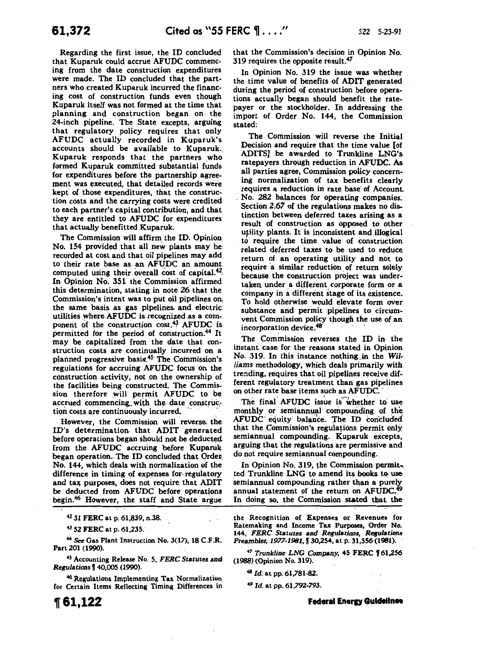Regarding the first issue, the ID concluded that Kuparuk could accrue AFUDC commencing from the date construction expenditures were made. The ID concluded that the partners who created Kuparuk incurred the financing cost of construction funds even though Kuparuk itself was not formed at the time that planning and construction began on. the 24-inch pipeline. The State excepts, arguing that regulatory policy requires that only AFUDC actually recorded in Kuparuk's accounts should be available to Kuparuk. Kuparuk responds that the partners who formed Kuparuk committed substantial funds for expenditures before the partnership agreement was executed, that detailed records were kept of those expenditures, that the construction costs and the carrying costs were credited to each partner's capital contribution, and that they are entitled to AFUDC for expenditures that actually benefitted Kuparuk.

The Commission will affirm the ID. Opinion No. 154 provided that all new plants may be: recorded at cost and that oil pipelines may add. to their rate base as. an AFUDC an amount. computed using their overall cost of capital. $42$ , In Opinion No. 351 the Commission affirmed this determination, stating in note 26 that the Commission's intent was to put oil pipelines on; the same basis as gas pipelines. and electric. utilities yvhere AFUDC is recognized as a component of the construction cost.<sup>43</sup> AFUDC is. permitted for the period of construction.<sup>44</sup> It may be capitalized from the date that construction costs are continually incurred on a planned progressive basis.<sup>45</sup> The Commission's regulations for accruing AFUDC focus on the construction activity, not on the ownership of the facilities being constructed. The Commission therefore will permit AFUDC to be accrued commencing with the date construction costs are continuously incurred.

· However, the Commission will reverse. the !D's determination. that ADIT generated before operations began should not be deducted from the AFUDC accruing before Kuparuk began operation. The ID concluded that Order No. 144, which deals with normalization of the. difference in timing of expenses for· regulatory and tax purposes, does not require that ADIT be deducted from AFUDC before operations begin.46 However, the staff and State argue

42 31 FERC at p. 61,839, n.38.

43 52 FERC at p. 61,235.

<sup>44</sup> See Gas Plant Instruction No. 3(17), 18 C.F.R. Part 201 (1990).

<sup>45</sup> Accounting Release No. 5, *FERC Statutes and Regulationsf* 40,005 (1990).

<sup>46</sup> Regulations Implementing Tax Normalization for Certain Items Reflecting Timing Differences in that the Commission's decision in Opinion No. 319 requires the opposite result.<sup>47</sup>

In Opinion No. 319 the issue was whether the time value of benefits of ADIT generated during the period of construction before operations actually began should benefit the ratepayer or the stockholder. In addressing the import of Order No. 144, the Commission stated:

The Commission will reverse the Initial Decision and require that the time value [of ADITS] be awarded to Trunkline LNG's ratepayers through reduction in AFUDC. As all parties agree, Commission policy concerning normalization of tax benefits clearly requires a reduction in rate base of Account. . No. 282 balances for operating companies. Section *2.67* of the regulations makes no distinction between deferred taxes arising as a result of construction as opposed to other utility plants. It is inconsistent and illogical to. require the time value of construction related deferred taxes to be used to reduce return of an operating utility and not to require a similar reduction of return solely because the construction project was undertaken under a different corporate form or a company in a different stage of its existence .. To hold otherwise would elevate form over substance and permit pipelines to circumvent Commission policy though the use of an incorporation device.<sup>48</sup>

The Commission reverses the ID in the instant case. for the: reasons stated in Opinion No. 319. In this instance nothing in the Wil*liams* methodology, which deals primarily with trending, requires that oil pipelines receive different regulatory treatment than gas pipelines on other rate base items such as AFUDC.

The final AFUDC issue is whether to use monthly or semiannual compounding of the AFUDC equity balance. The ID concluded that the Commission's regulations permit only semiannual compounding. Kuparuk excepts, arguing that the regulations are permissive and do not require semiannual compounding.

In Opinion No. 319, the Commission permitted Trunkline LNG to amend its books to use semiannual compounding rather than a purely annual statement of the return on AFUDC.<sup>49</sup> In doing so, the Commission stated that the

the Recognition of Expenses or Revenues for Ratemaking and Income Tax Purposes, Order No. 144, *FERC Statutes and Regulations, Regulations Preambles, 1977-1981*, 11 30,254, at p. 31,556 (1981).

<sup>47</sup> Trunkline LNG Company, 45 FERC 161,256 (1988) (Opinion No. 319).

<sup>48</sup>*Id.* at pp. 61,781-82.

<sup>49</sup>*Id.* at pp. 61,792-793.

**Federal Energy Guidelines**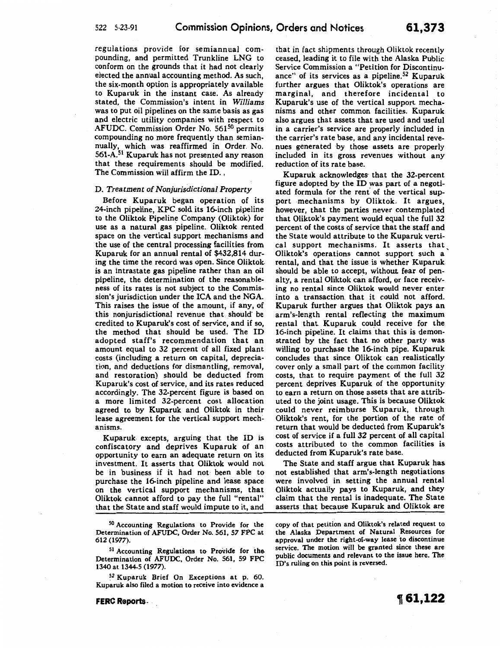regulations provide for semiannual compounding, and permitted Trunkline LNG to conform on the grounds that it had not clearly elected the annual accounting method. As such, the six-month option is appropriately available to Kuparuk in the instant case. As already stated, the Commission's intent in *Williams*  was to put oil pipelines on the same basis as gas and electric utility companies with respect to AFUDC. Commission Order No. 561<sup>50</sup> permits compounding no more frequently than semiannually, which was reaffirmed in Order. No. 56t-A.51 Kuparuk has not presented any reason that these requirements should be modified. The Commission will affirm the ID. ,

#### D. *Treatment of Nonjurisdictional Property*

Before Kuparuk began operation of its 24-inch pipeline, KPC sold its 16-inch pipeline to the Oliktok Pipeline Company (Oliktok) for use as a natural gas pipeline. Oliktok rented space on the vertical support mechanisms and the use of the central processing facilities from Kuparuk for an annual rental of \$432,814 during the time the record was open. Since Oliktok. is an intrastate gas pipeline rather than an oil pipeline, the determination of the reasonableness of its rates is not subject to the Commission's jurisdiction under the ICA and the NGA. This raises the issue of the amount, if any, of this nonjurisdictional revenue that should. be credited to Kuparuk's cost of service, and if so, the method that should be used. The ID adopted staff's recommendation that an amount equal to 32 percent of all fixed plant costs (including a return on capital, depreciation, and deductions for dismantling, removal, and restoration) should be deducted from Kuparuk's cost of service, and its rates reduced accordingly. The 32-percent figure is based on a more limited 32-percent cost allocation agreed to by Kuparuk and Oliktok in their lease agreement for the vertical support mechanisms.

Kuparuk excepts, arguing that the ID is confiscatory and deprives Kuparuk of an opportunity to earn an adequate return on its investment. It asserts that Oliktok would not be in business if it had not been able to purchase the 16-inch pipeline and lease space on the vertical support mechanisms, that Oliktok cannot afford to pay the full "rental" that the State and staff would impute to it, and

50 Accounting Regulations to Provide for the Determination of AFUDC, Order No. 561, 57 FPC at 612 (1977).

<sup>51</sup> Accounting Regulations to Provide for the Determination of AFUDC, Order No. 561, 59 FPC 1340 at 1344-5 (1977).

*<sup>52</sup>*Kuparuk Brief On Exceptions at p. 60. Kuparuk also filed a motion to receive into evidence a

**FERC** Reports ...

that in fact shipments through Oliktok recently ceased, leading it to file with the Alaska Public Service Commission a "Petition for Discontinuance" of its services as a pipeline.<sup>52</sup> Kuparuk further argues that Oliktok's operations are marginal, and therefore incidental to Kuparuk's use of the vertical support mechanisms and other common facilities. Kuparuk also argues that assets that are used and useful in a carrier's service are properly included in the carrier's rate base, and any incidental revenues generated ·by those assets are properly included in its gross revenues without any reduction of its rate base.

Kuparuk acknowledges that the 32-percent figure adopted by the ID was part of a negotiated formula for the rent of the vertical support mechanisms by Oliktok. It argues, however, that the parties never contemplated that Oliktok's payment would equal the full 32 percent of the costs of service that the staff and the State would attribute to the Kuparuk vertical support mechanisms. It asserts that Oliktok's operations cannot support such a' rental, and that the issue is whether Kuparuk should be able to accept, without fear of penalty, a rental Oliktok can afford, or face receiving no rental since Oliktok would never enter into a transaction. that it could not afford. Kuparuk further argues that Oliktok pays an arm's-length rental reflecting the maximum rental that. Kuparuk could receive for the 16-inch pipeline. It claims that this is demonstrated by the fact that no other party was willing to purchase the 16-inch pipe. Kuparuk concludes that since Oliktok can realistically cover only a small part of the common facility costs, that to require payment of the full 32 percent deprives Kuparuk of the opportunity to earn a return on those assets that are attributed to the joint usage. This is because Oliktok could never reimburse Kuparuk, through Oliktok's rent, for the portion of the rate of return that would be deducted from Kuparuk's cost of service if a full 32 percent of all capital costs attributed to the common facilities is deducted from Kuparuk's rate base.

The State and staff argue that Kuparuk has not established that arm's-length negotiations were involved in setting the annual rental Oliktok actually pays to Kuparuk, and they claim that the rental is inadequate. The State asserts that because Kuparuk and Oliktok are

copy of that petition and Oliktok's related request to the Alaska Department of Natural Resources for approval under the right-of-way lease to discontinue service. The motion will be granted since these are public documents and relevant to the issue here. The ID's ruling on this point is reversed.

**1[61,122**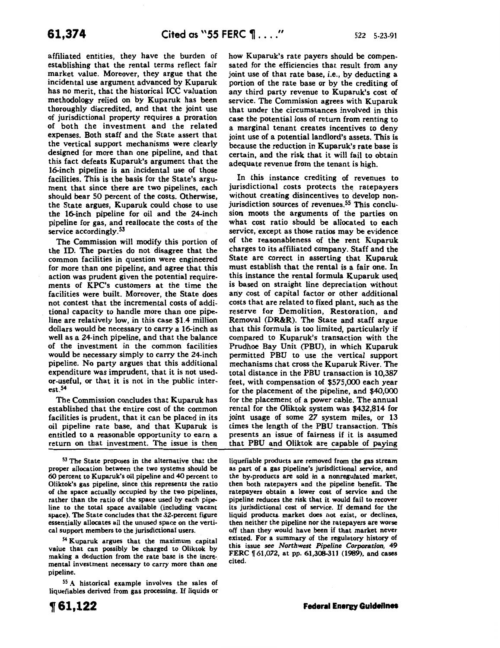affiliated entities, they have the burden of establishing that the rental terms reflect fair market value. Moreover, they argue that the incidental use argument advanced by Kuparuk has no merit, that the historical ICC valuation methodology relied on by Kuparuk has been thoroughly discredited, and that the joint use of jurisdictional property requires a proration of both the investment and the related expenses. Both staff and the State assert that the vertical support mechanisms were clearly designed for more than one pipeline, and that this fact defeats Kuparuk's argument that the 16-inch pipeline is an incidental use of those facilities. This is the basis for the State's argument that since there are two pipelines, each should bear SO percent of the costs. Otherwise, the State argues, Kuparuk could chose to use the 16-inch pipeline for oil and the 24-inch pipeline for gas, and reallocate the costs of the service accordingly.<sup>53</sup>

The Commission will modify this portion of the ID. The parties do not disagree that the common facilities in question were engineered for more than one pipeline, and agree that this action was prudent given the potential requirements of KPC's customers at the time the facilities were built. Moreover, the State does not contest that the incremental costs of additional capacity to handle more than one pipeline are relatively low, in this case \$1.4 million dollars would be necessary to carry a 16-inch as well as a 24-inch pipeline, and that the balance of the investment in the common facilities would be necessary simply to carry the 24-inch pipeline. No party argues that this additional expenditure was imprudent, that it is not usedor-useful, or that it is not in the public interest.54

The Commission concludes that Kuparuk has established that the entire cost of the common facilities is prudent, that it can be placed in its oil pipeline rate base, and that Kuparuk is entitled to a reasonable opportunity to earn a return on that investment. The issue is then

53 The State proposes in the alternative that the proper allocation between the two systems should be 60 percent to Kuparuk's oil pipeline and 40 percent to Oliktok's gas pipeline, since this represents the ratio of the space actually occupied by the two: pipelines, rather than the ratio of the space used by each pipeline to the total space available (including vacant space). The State concludes that the 32-percent figure essentially allocates all the unused space on the vertical support members to the jurisdietional users.

54 Kuparuk argues that the maximum capital value that can possibly be charged to Oliktok by making a deduction from the rate base is the incremental investment necessary to carry more than one pipeline.

55 A historical example involves the sales of liquefiables derived from gas processing. If liquids or how Kuparuk's rate payers should be compensated for the efficiencies that result from any joint use of that rate base, i.e., by deducting a portion of the rate base or by the crediting of any third party revenue to Kuparuk's cost of service. The Commission agrees with Kuparuk that under the circumstances involved in this case the potential loss of return from renting to a marginal tenant creates incentives to deny joint use of a potential landlord's assets. This is because the reduction in Kuparuk's rate base is certain, and the risk that it will fail to obtain adequate revenue from the tenant is high.

In this instance crediting of revenues to jurisdictional costs protects the ratepayers without creating disincentives to develop nonjurisdiction sources of revenues.<sup>55</sup> This conclusion moots the arguments of the parties on what cost ratio should be allocated to each service, except as those ratios may be evidence of the reasonableness of the rent Kuparuk charges to its affiliated company. Staff and the State are correct in asserting that Kuparuk must establish that the rental is a fair one. In this instance the rental formula Kuparuk useq is based on straight line depreciation without any cost of capital factor or other additional costs that are related to fixed plant, such as the reserve for Demolition, Restoration, and Removal (DR&R). The State and staff argue that this formula is too limited, particularly if compared to Kuparuk's transaction with the Prudhoe Bay Unit (PBU), in which Kuparuk permitted PBU to use the vertical support mechanisms that cross the Kuparuk River. The total distance in the PBU transaction is 10,387 feet, with compensation of \$575,000 each year for the placement of the pipeline, and \$40,000 for the placement of a power cable. The annual rental for the Oliktok system was \$432,814 for joint usage of some *27* system miles, or 13 times the length of the PBU transaction. This presents an issue of fairness if it is assumed that PBU and Oliktok are capable of paying

liquefiable products are removed from the gas stream as part of a gas pipeline's jurisdictional service, and the by-products are sold in a nonregulated market, then both ratepayers and the pipeline benefit. The ratepayers obtain a lower cost of service and the pipeline reduces the risk that it would fail to recover its jurisdictional cost of service. If demand for the liquid products. market does not exist, or declines, then neither the pipeline nor the ratepayers are worse off than they would have been if that market never existed. For a summary of the regulatory history of this issue *see Northwest Pipeline Corporation, 49*  FERC  $\parallel$  61,072, at pp. 61,308-311 (1989), and cases cited.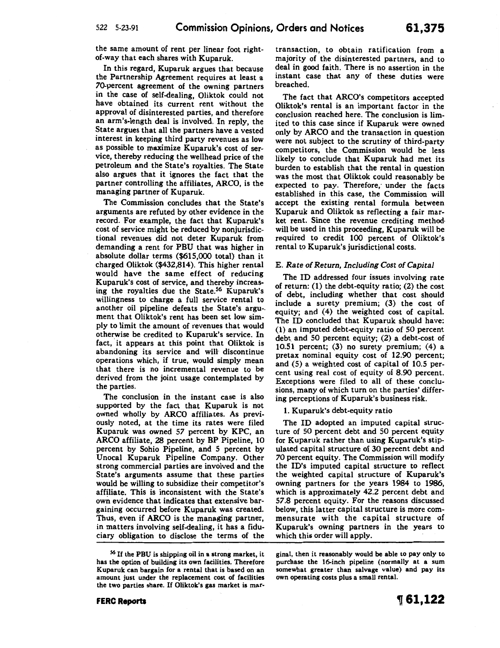the same amount of rent per linear foot rightof-way that each shares with Kuparuk.

In this regard, Kuparuk argues that because the Partnership Agreement requires at least a 70-percent agreement of the owning partners in the case of self-dealing, Oliktok could not have obtained its current rent without the approval of disinterested parties, and therefore an arm's-length deal is involved. In reply, the State argues that all the partners have a vested interest in keeping third party revenues as low as possible to maximize Kuparuk's cost of service, thereby reducing the wellhead price of the petroleum and the State's royalties. The State also argues that it ignores the fact that the partner controlling the affiliates, ARCO, is the managing partner of Kuparuk.

The Commission concludes that the State's arguments are refuted by other evidence in the record. For example, the fact that Kuparuk's cost of service might be reduced by nonjurisdictional revenues did not deter Kuparuk from demanding a rent for PBU that was higher in absolute dollar terms (\$615,000 total) than it charged Oliktok (\$432,814). This higher rental would have the same effect of reducing Kuparuk's cost of service, and thereby increasing the royalties due the State.<sup>56</sup> Kuparuk's willingness to charge a full service rental to another oil pipeline defeats the State's argu-. ment that Oliktok's rent has been set low simply to limit the amount of revenues that would otherwise be credited to Kuparuk's service. In fact, it appears at this point that Oliktok is abandoning its service and will· discontinue operations which, if true, would simply mean that there is no incremental revenue to be derived from the joint usage contemplated by the parties.

The conclusion in the instant case is also supported by the fact that Kuparuk is not owned wholly by ARCO affiliates. As previously noted, at the time its rates were filed Kuparuk was owned *57* percent by KPC, an ARCO affiliate, 28 percent by BP Pipeline, 10 percent by Sohio Pipeline, and S percent by Unocal Kuparuk Pipeline Company. Other strong commercial parties are involved and the State's arguments assume that these parties would be willing to subsidize their competitor's affiliate. This is inconsistent with the State's own evidence that indicates that extensive bargaining occurred before Kuparuk was created. Thus, even if ARCO is the managing partner, in matters involving self-dealing, it has a fiduciary obligation to disclose the terms of the transaction, to obtain ratification from a majority of the disinterested partners, and to deal in good faith. There is no assertion in the instant case that any of these duties were breached.

The fact that ARCO's competitors accepted Oliktok's rental is an important factor in the conclusion reached here. The conclusion is limited to this case since if Kuparuk were owned only by ARCO and the transaction in question were not subject to the scrutiny of third-party competitors, the Commission would be less likely to conclude that Kuparuk had met its burden to establish that the rental in question was the most that Oliktok could reasonably be expected to pay. Therefore; under the facts established in this case, the Commission will accept the existing rental formula between Kuparuk and Oliktok as reflecting a fair market rent. Since the revenue crediting methodwill be used in this proceeding, Kuparuk will be required to credit 100 percent of Oliktok's rental to Kuparuk's jurisdictional costs.

#### E. *Rate of Return, Including Cost of Capital*

The ID addressed four issues involving rate of return: (1) the debt-equity ratio; (2) the cost of debt, including whether that cost should include a surety premium; (3) the cost of equity; and (4) the weighted cost of capital. The ID concluded that Kuparuk should have: (1) an imputed debt-equity ratio of SO percent debt and 50 percent equity; (2) a debt-cost of 10.Sl percent; (3) no surety premium; (4) a pretax nominal equity cost of 12.90 percent; and (S) a weighted cost of capital of 10.S percent using real cost of equity of 8.90 percent. Exceptions were filed to all of these conclusions, many of which turn on the parties' differing perceptions of Kuparuk's business risk.

1. Kuparuk's debt-equity ratio

The ID adopted an imputed capital structure of SO percent debt and SO percent equity for Kuparuk rather than using Kuparuk's stipulated capital structure of 30 percent debt and *70* percent equity. The Commission will modify the ID's imputed capital structure to reflect the weighted capital structure of Kuparuk's owning partners for the years 1984 to 1986, which is approximately 42.2 percent debt and S7.8 percent equity. For the reasons discussed below, this latter capital structure is more commensurate with the capital structure of Kuparuk's owning partners in the years to which this order will apply.

gina!, then it reasonably would be able to pay only to purchase the 16-inch pipeline (normally at a sum somewhat greater than salvage value) and pay its own operating costs plus a small rental.

#### **FERC Reports**

<sup>&</sup>lt;sup>56</sup> If the PBU is shipping oil in a strong market, it has the option of building its own facilities. Therefore Kuparuk can bargain for a rental that is based on an amount just under the replacement cost of facilities the two parties share. If Oliktok's gas market is mar-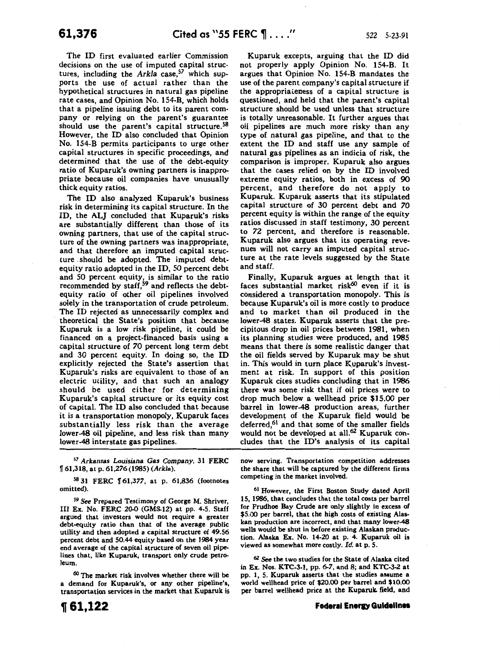The ID first evaluated earlier Commission decisions on the use of imputed capital structures, including the *Arkla* case,<sup>57</sup> which supports the use of actual rather than the hypothetical structures in natural gas pipeline rate cases, and Opinion No. 1S4-B, which holds that a pipeline issuing debt to its parent company or relying on the parent's guarantee should use the parent's capital structure.<sup>58</sup> However, the ID also concluded that Opinion No. 1S4-B permits participants to urge other capital structures in specific proceedings, and determined that the use of the debt-equity ratio of Kuparuk's owning partners is inappropriate because oil companies have unusually thick equity ratios.

The ID also analyzed Kuparuk's business risk in determining its capital structure. In the ID, the ALJ concluded that Kuparuk's risks are substantially different than those of its owning partners, that use of the capital structure of the owning partners was inappropriate, and that therefore an imputed capital structure . should be adopted. The imputed debtequity ratio adopted in the ID, SO percent debt and SO percent equity, is similar to the ratio recommended by staff,<sup>59</sup> and reflects the debtequity ratio of other oil pipelines involved solely in the transportation of crude petroleum. The ID rejected as unnecessarily complex and theoretical the State's position that because Kuparuk is a low risk pipeline, it could be financed on a project-financed basis using a capital structure of *70* percent long term debt and 30 percent equity. In doing so, the ID explicitly rejected the State's assertion that Kuparuk's risks are equivalent to those of an electric utility, and that such an analogy should be used either for determining Kuparuk's capital structure or its equity cost of capital. The ID also concluded that because it is a transportation monopoly, Kuparuk faces substantially less risk than the average lower-48 oil pipeline, and less risk than many lower-48 interstate gas pipelines.

57 Arkansas *Louisiana* Gas Company, 31 FERC <sup>~</sup>61,318, at p. 61,276 (1985) *(Arkla).* 

58 31 FERC 161,377, at p. 61,836 (footnotes omitted).

59 *See* Prepared Testimony of George M. Shriver, III Ex. No. FERC 20-0 (GMS-12) at pp. 4-5. Staff argued that investors would not require a greater debt-equity ratio than that of the average public utility and then adopted a capital structure of 49.56 percent debt and 50.44 equity based on the 1984 year end average of the capital structure of seven oil pipelines that, like Kuparuk, transport only crude petroleum.

*<sup>60</sup>*The market risk involves whether there will be a demand for Kuparuk's, or any other pipeline's transportation services in the market that Kuparuk is

Kuparuk excepts, arguing that the ID did not properly apply Opinion No. 1S4-B. It argues that Opinion No. 1S4-B mandates the use of the parent company's capital structure if the appropriateness of a capital structure is questioned, and held that the parent's capital structure should be used unless that structure is totally unreasonable. It further argues that oil pipelines are much more risky than any type of natural gas pipeline, and that to the extent the ID and staff use any sample of natural gas pipelines as an indicia of risk, the comparison is improper. Kuparuk also argues that the cases relied on by the ID involved extreme equity ratios, both in excess of 90 percent, and therefore do not apply to Kuparuk. Kuparuk asserts that its stipulated capital structure of 30 percent debt and *70*  percent equity is within the range of the equity ratios discussed in staff testimony, 30 percent to 72 percent, and therefore is reasonable. Kuparuk also argues that its operating revenues will not carry an imputed capital structure at the rate levels suggested by the State and staff.

Finally, Kuparuk argues at length that it faces substantial market risk<sup>60</sup> even if it is considered a transportation monopoly. This is because Kuparuk's oil is more costly to produce and to market than oil produced in the lower-48 states. Kuparuk asserts that the precipitous drop in oil prices between 1981, when its planning studies were produced, and 1985 means that there is some realistic danger that the oil fields served by Kuparuk may be shut in. This would in turn place Kuparuk's investment at risk. In support of this position Kuparuk cites studies concluding that in 1986 there was some risk that if oil prices were to drop much below a wellhead price \$15.00 per barrel in lower-48 production areas, further development of the Kuparuk field would be deferred,<sup>61</sup> and that some of the smaller fields would not be developed at all.<sup>62</sup> Kuparuk concludes that the ID's analysis of its capital

now serving. Transportation competition addresses the share that will be captured by the different firms competing in the market involved.

61 However, the First Boston Study dated April 15, 1986, that concludes that the total costs per barrel for Prudhoe Bay Crude are only slightly in excess of \$5.00 per barrel, that the high costs of existing Alaskan production are incorrect, and that many lower-48 wells would be shut in before existing Alaskan production. Alaska Ex. No. 14-20 at p. 4. Kuparuk oil is viewed as somewhat more costly. *Id.* at p. 5.

6Z *See* the two studies for the State of Alaska cited in Ex. Nos. KTC-3-1, pp. 6-7, and 8; and KTC-3-2 at pp. 1, 5. Kuparuk asserts that the studies assume a world wellhead price of \$20.00 per barrel and \$10.00 per barrel wellhead price at the Kuparuk. field, and

#### **Federal Energy Guidelines**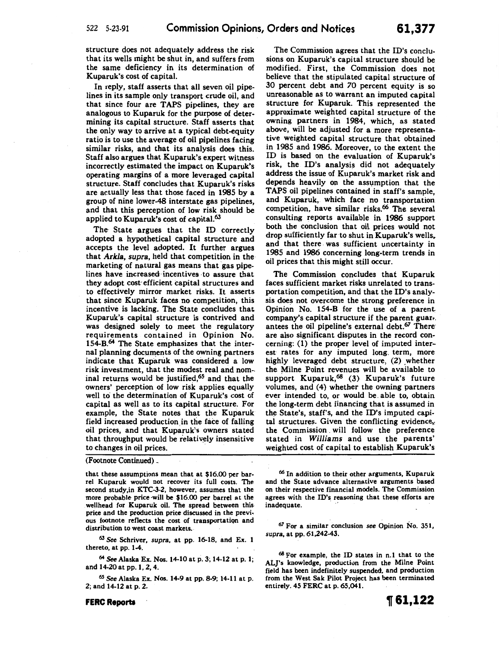structure does not adequately address the risk that its wells might be shut in, and suffers from the same deficiency in its determination of Kuparuk's cost of capital.

In reply, staff asserts that all seven oil pipelines in its sample only transport crude oil, and that since four are TAPS pipelines, they are analogous to Kuparuk for the purpose of determining its capital structure. Staff asserts that the only way to arrive at a typical debt-equity ratio is to use the average of oil pipelines facing similar risks, and that its analysis does this. Staff also argues that Kuparuk's expert witness incorrectly estimated the impact on Kuparuk's operating margins of a more leveraged capital structure. Staff concludes that Kuparuk's risks are actually less that those faced in 1985 by a group of nine lower-48 interstate gas pipelines, and that this perception of low risk should be applied to Kuparuk's cost of capital.<sup>63</sup>

The State argues that the ID correctly adopted a hypothetical capital structure and accepts the level adopted. It further argues that *Arkla, supra,* held that competition in the marketing of natural gas means that gas pipelines have increased· incentives -to assure that they adopt cost-efficient capital structures and to effectively mirror market risks. It asserts that since Kuparuk faces no competition, this incentive is lacking. The State concludes that Kuparuk's capital structure is contrived and was designed solely to meet the regulatory requirements contained in Opinion No. 154-B.<sup>64</sup> The State emphasizes that the internal planning documents of the owning partners indicate that Kuparuk was considered a low risk investment, that the modest real and nom- inal returns would be justified,65 and that the owners' perception of low risk applies equally well to the determination of Kuparuk's cost of capital as well as to its capital structure. For example, the State notes that the Kuparuk field increased production in the face of falling oil prices, and that Kuparuk's owners stated that throughput would be relatively insensitive. to changes in oil prices.

(Footnote Continued) .

that these assumptions mean that at \$16.00 per barrel Kuparuk would not recover its full costs. The second study,in KTC-3-2, however, assumes that the more probable price -will be \$16.00 per barrel at the wellhead for Kuparuk oil. The spread between this price and the production price discussed in the previ. ous footnote reflects the cost of transportatiqn and distribution to west coast markets.

<sup>63</sup>*See* Schriver, *supra,* at pp. 16-18, and Ex. 1 thereto, at pp. 1-4.

<sup>64</sup>See Alaska Ex. Nos. 14-10 at p. 3; 14-12 at p. 1; and 14-20 at pp. **1,** 2, 4.

<sup>65</sup>*See* Alaska Ex. Nos. 14-9 at pp. 8-9; 14-11 at p. 2; and 14-12 at p. 2.

The Commission agrees that the ID's conclusions on Kuparuk's capital structure should be modified. First, the Commission does not believe that the stipulated capital structure of 30 percent debt and 70 percent equity is so unreasonable as to warrant an imputed capital structure for Kuparuk. This represented the approximate weighted capital structure of the owning partners in 1984, which, as stated above, will be adjusted for a more representative weighted capital structure that obtained in 1985 and 1986. Moreover, to the extent the ID is based on the evaluation of Kuparuk's risk, the ID's analysis did not adequately address the issue of Kuparuk's market risk and depends heavily on the assumption that the TAPS oil pipelines contained in staff's sample, and Kuparuk, which face no transportation competition, have similar risks.66 The several consulting reports available in 1986 support both the conclusion that oil prices would not drop sufficiently far to shut in Kuparuk's wells. and that there. was sufficient uncertainty in 1985 and 1986 concerning long-term trends in oil prices that this might still occur.

The Commission concludes that Kuparuk faces sufficient market risks unrelated to transportation competition, and that the ID's analysis does not overcome the strong preference in Opinion No. 154-B for the use of a parent company's capital structure if the parent guar-. antees the oil pipeline's external debt.<sup>67</sup> There are also significant disputes in the record concerning: (1) the proper level of imputed interest rates for any imputed long. term, more highly leveraged debt structure, (2) whether the Milne Point revenues will be available to support Kuparuk,<sup>68</sup> (3) Kuparuk's future volumes, and (4) whether the owning partners ever intended to, or would be. able to, obtain the long-term debt financing that is assumed in the State's, staff's, and the ID's imputed capital structures. Given the conflicting evidence, the Commission . will follow the preference stated in *Williams* and use the parents' weighted cost of capital to establish Kuparuk's

66 In addition to their other arguments, Kuparuk and the State advance alternative arguments based on their respective financial models. The Commission agrees with the ID's reasoning that these efforts are inadequate.

*67* For a similar conclusion *see* Opinion No. 351, *supra,* at pp. 61,242-43.

68 For example, the ID states in n.1 that to the AL]'s knowledge, production from the Milne Point field has been indefinitely suspended, and production from the West Sak Pilot Project has been terminated entirely. 45 FERC at p. 65,041.

#### **FERC Reports**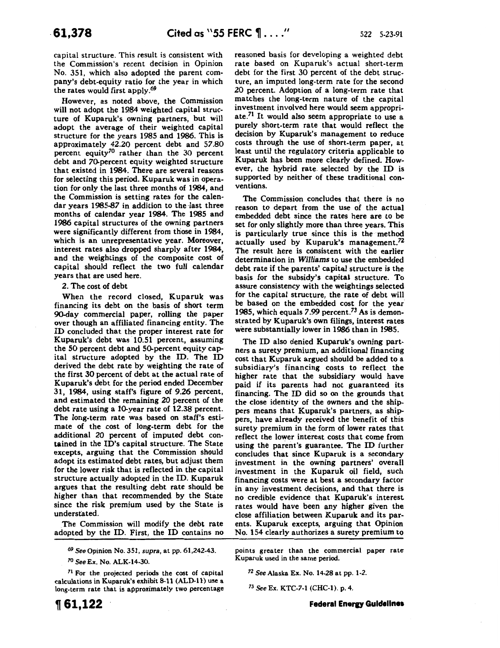capital structure. This result is consistent with the Commission's recent decision in Opinion No. 351, which also adopted the parent company's debt-equity ratio for the year in which the rates would first apply.<sup>69</sup>

However, as noted above, the Commission will not adopt the 1984 weighted capital structure of Kuparuk's owning partners, but will adopt the average of their weighted capital structure for the years 1985 and 1986. This is approximately 42.20 percent debt and 57.80 percent equity<sup>70</sup> rather than the 30 percent debt and 70-percent equity weighted structure that existed in 1984. There are several reasons for selecting this period. Kuparuk was in operation for only the last three months of 1984, and the Commission is setting rates for the calendar years 1985-87 in addition to the ·last three months of calendar year 1984. The 1985 and 1986 capital structures of the owning partners were significantly different from those in 1984, which is an unrepresentative year. Moreover, interest rates also dropped sharply after 1984, and the weightings of the composite cost of capital should reflect the two full calendar years that are used here.

### 2. The cost of debt

When the record closed, Kuparuk was financing its debt on the basis of short term 90-day commercial paper, rolling the paper over though an affiliated financing entity. The ID concluded that the proper interest rate for Kuparuk's debt was 10.51 percent, assuming the 50 percent debt and 50-percent equity capital structure adopted by the ID. The ID derived the debt rate by weighting the rate of the first 30 percent of debt at the actual rate of Kuparuk's debt for the period ended December 31, 1984, using staff's figure of 9.26 percent, and estimated the remaining 20 percent of the debt rate using a 10-year rate of 12.38 percent. The long-term rate was based on staff's estimate of the cost of long-term debt for the additional 20 percent of imputed debt contained in the ID's capital structure. The State excepts, arguing that the Commission should adopt its estimated debt rates, but adjust them for the lower risk that is reflected in the capital structure actually adopted in the ID. Kuparuk argues that the resulting debt rate should be higher than that recommended. by the State since the risk premium used by the State is understated.

The Commission will modify the debt rate adopted by the ID. First, the ID contains no

*69 See* Opinion No. 351, *supra,* at pp. 61,242-43.

*70 See* Ex. No. ALK-14-30.

 $71$  For the projected periods the cost of capital calculations in Kuparuk's exhibit 8-11 (ALD-11) use a long-term rate that is approximately two percentage reasoned basis for developing a weighted debt rate based on Kuparuk's actual short-term debt for the first 30 percent of the debt structure, an imputed long-term rate for the second 20 percent. Adoption of a long-term rate that matches the long-term nature of the capital investment involved here would seem appropriate.71 It would also seem appropriate to use a purely short-term rate that would reflect the decision by Kuparuk's management to reduce costs through the use of short-term paper, at least until the regulatory criteria applicable to Kuparuk has been more clearly defined. However, the hybrid rate. selected by the ID is supported by neither of these traditional conventions.

The Commission concludes that there is no reason to depart from the use of the actual embedded debt since the rates here are to be set for only slightly more than three years. This is particularly true since this is the method actually used by Kuparuk's management.<sup>72</sup> The result here is consistent with the earlier determination in *Williams* to use the embedded debt rate if the parents' capital structure is the basis for the subsidy's capital structure. To assure consistency with the weightings selected for the capital structure, the rate of debt will be based on the embedded cost for the year 1985, which equals  $7.99$  percent.<sup>73</sup> As is demonstrated by Kuparuk's own filings, interest rates were substantially lower in 1986 than in 1985.

The ID also denied Kuparuk's owning partners a surety premium, an additional financing cost that Kuparuk argued should be added to a subsidiary's financing costs to reflect the higher rate that the subsidiary would have paid if its parents had not guaranteed its financing. The ID did so on the grounds that the close identity of the owners and the shippers means that Kuparuk's partners, as shippers, have already received the benefit of this surety premium in the form of lower rates that reflect the lower interest costs that come from using the parent's guarantee. The ID further concludes that since Kuparuk is a secondary investment in the owning partners' overall investment in the Kuparuk oil field, such financing costs were at best a secondary factor in any investment decisions, and that there is no credible evidence that Kuparuk's interest rates would have been any higher given the close affiliation between Kuparuk and its parents. Kuparuk excepts, arguing that Opinion No. 154 clearly authorizes a surety premium to

points greater than the commercial paper rate Kuparuk used in the same period.

72 See Alaska Ex. No. 14-28 at pp. 1-2.

<sup>73</sup>*See* Ex. KTC-7-1 (CHC-1). p. 4.

**Federal Energy Guidelines**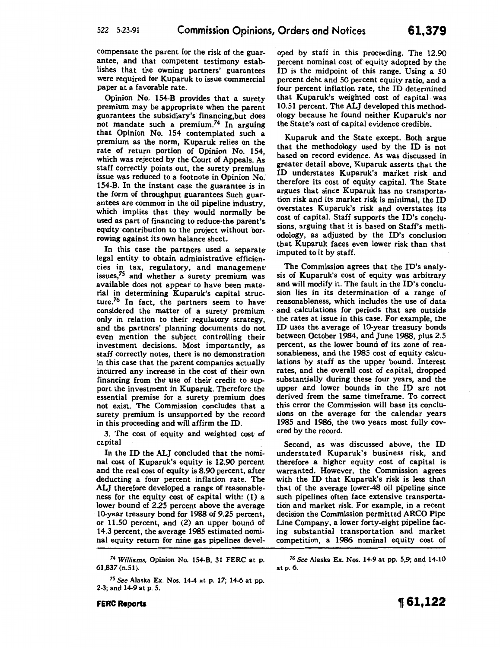compensate the parent for the risk of the guarantee, and that competent testimony establishes that the owning partners' guarantees were required for Kuparuk to issue commercial paper at a favorable rate.

Opinion No. 154-B provides that a surety premium may be appropriate when the parent guarantees the subsidiary's financing,but does not mandate such a premium.74 In arguing that Opinion No. 154 contemplated such a premium as the norm, Kuparuk relies on the rate of return portion of Opinion No. 154, which was rejected by the Court of Appeals. As staff correctly points out, the surety premium issue was reduced to a footnote in Opinion No. 154-B. In the instant case the guarantee is in the form of throughput guarantees Such guarantees are common in the oil pipeline industry, which implies that they would normally be. used as part of financing to reduce-the parent's. equity contribution to the project without borrowing against its own balance sheet.

In this case the partners used a separate legal entity to obtain administrative efficiencies in tax, regulatory, and managementissues/5 and whether a surety premium was available does not appear to have been material in determining Kuparuk's capital structure.76 In fact, the partners seem to have considered the matter of a surety premium only in relation to their regulatory strategy, and the partners' planning documents do not even mention the subject controlling their. investment decisions. Most importantly, as staff correctly notes, there is no demonstration. in this case that the parent companies actually incurred any increase in the cost of their own financing from the use of their credit to support the investment in Kuparuk. Therefore the essential premise for a surety premium does not exist. The Commission concludes that a surety premium is unsupported by the record in this proceeding and will affirm the ID.

3. The cost of equity and weighted cost of capital

In the ID the ALJ concluded that the nominal cost of Kuparuk's equity is 12.90 percent and the real cost of equity is 8.90 percent, after deducting a four percent inflation rate. The ALJ therefore developed a range of reasonableness for the equity cost of capital with: (1) a lower bound of 2.25 percent above the average 10-year treasury bond for 1988 of 9.25 percent, or 11.50 percent, and (2) an upper bound of 14.3 percent, the average 1985 estimated nominal equity return for nine gas pipelines devel-

<sup>74</sup>*Williams,* Opinion No. 154-B, 31 FERC at p. 61,837 (n.51).

<sup>75</sup>*See* Alaska Ex. Nos. 14-4 at p. 17; 14-6 at pp. 2-3; and 14-9 at p. 5.

oped by staff in this proceeding. The 12.90 percent nominal cost of equity adopted by the ID is the midpoint of this range. Using a 50 percent debt and 50 percent equity ratio, and a four percent inflation rate, the ID determined that Kuparuk's weighted cost of capital. was 10.51 percent. The ALJ developed this methodology because he found neither Kuparuk's nor the State's cost of capital evidence credible.

Kuparuk and the State except. Both argue that the methodology used by the ID is not based on record evidence. As was discussed in greater detail above, Kuparuk asserts that the ID understates Kuparuk's market risk and therefore its cost of equity capital. The State argues that since Kuparuk has no transportation risk and its market risk is minimal, the ID overstates Kuparuk's risk and overstates its cost of capital. Staff supports the ID's conclusions, arguing that it is based on Staff's methodology, as adjusted by the ID's conclusion that Kuparuk faces even lower risk than that imputed to it by staff.

The Commission agrees that the ID's analysis of Kuparuk's cost of equity was arbitrary and will modify it. The fault in the ID's conclusion lies in its determination of a range of reasonableness, which includes the use of data and calculations for periods that are outside the rates at issue in this case. For example, the ID uses the average of 10-year treasury bonds between October 1984, and June 1988, plus 2.5 percent, as the lower bound of its zone of reasonableness, and the 1985 cost of equity calculations by staff as the upper bound. Interest rates, and the overall cost of capital; dropped substantially during these four years, and the upper and lower bounds in the ID are not derived from the same timeframe. To. correct this error the Commission will base its conclusions on the average for the calendar years 1985 and 1986, the two years most fully covered by the record.

Second, as was discussed above, the ID understated Kuparuk's business risk, and therefore a higher equity cost of capital is warranted. However, the Commission agrees with the ID that Kuparuk's risk is less than that of the average lower-48 oil pipeline since such pipelines often face extensive transportation and market risk. For example, in a recent decision the Commission permitted ARCO Pipe Line Company, a lower forty-eight pipeline facing substantial transportation and market competition, a 1986 nominal equity cost of

*76 See* Alaska Ex. Nos. 14-9 at pp. 5,9; and 14-10 at p. 6.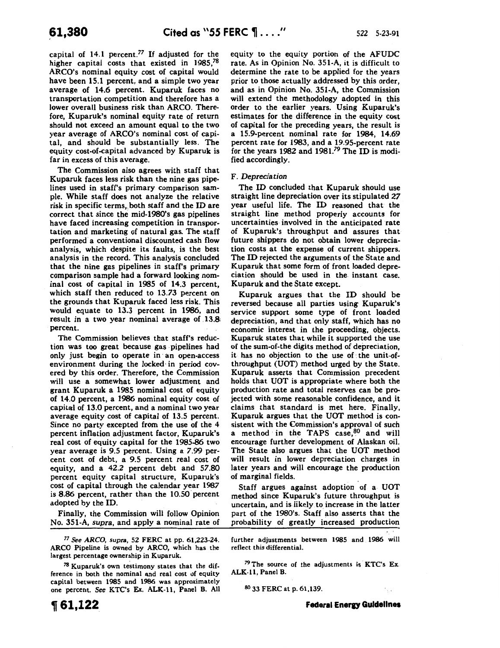capital of  $14.1$  percent.<sup>77</sup> If adjusted for the higher capital costs that existed in  $1985<sup>78</sup>$ ARCO's nominal equity cost of capital would have been 15.1 percent, and a simple two year average of 14.6 percent. Kuparuk faces no transportation competition and therefore has a lower overall business risk than ARCO. Therefore, Kuparuk's nominal equity rate of return should not exceed an amount equal to the two year average of ARCO's nominal cost of capital, and should be substantially less. The equity cost-of-capital advanced by Kuparuk is far in excess of this average.

The Commission also agrees with staff that Kuparuk faces less risk than the nine gas pipelines used in staff's primary comparison sample. While staff does not analyze the relative risk in specific terms,. both staff and the ID are correct that since the mid-1980's gas pipelines have faced increasing competition in transportation and marketing of natural gas. The staff performed a conventional discounted cash flow analysis, which despite its faults, is the best analysis in the record. This analysis concluded that the nine gas pipelines in staff's primary comparison sample had a forward looking nominal cost of capital in 1985 of 14.3 percent, which staff then reduced to 13.73 percent on the grounds that Kuparuk faced less risk. This would equate to 13.3 percent in 1986, and result in a two year nominal average of 13.8: percent.

The Commission believes that staff's reduction was too great because gas pipelines had only just begin to operate in · an open-access environment during the locked· in period covered by this order. Therefore, the Commission will use a somewhat lower adjustment and grant Kuparuk a 1985 nominal cost of equity of 14.0 percent, a 1986 nominal equity cost of capital of 13.0 percent, and a nominal two year average equity cost of capital of 13.5 percent. Since no party excepted from the use of the 4 percent inflation adjustment factor, Kuparuk's real cost of equity capital for the 1985-86 two year average is 9.5 percent. Using a 7.99 percent cost of debt, a 9.5 percent real cost of equity, and a 42.2 percent debt and 57.80 percent equity capital structure, Kuparuk's cost of capital through the calendar year 1987 is 8.86 percent, rather than the 10.50 percent adopted by the ID.

Finally, the Commission will follow Opinion No. 351-A, *supra,* and apply a nominal rate of

*77 See ARCO, supra,* 52 FERC at pp. 61,223-24. ARCO Pipeline is owned by ARCO, which has the largest percentage ownership in Kuparuk.

 $78$  Kuparuk's own testimony states that the difference in both the nominal and real cost of equity capital between 1985 and 1986 was approximately one percent. See KTC's Ex. ALK-11, Panel B. All equity to the equity portion of the AFUDC rate. As in Opinion No. 351-A, it is difficult to determine the rate to be applied for the years prior to those actually addressed by this order, and as in Opinion No. 351-A, the Commission will extend the methodology adopted in this order to the earlier years. Using Kuparuk's estimates for the difference in the equity cost of capital for the preceding years, the result is a 15.9-percent nominal rate for 1984, 14.69 percent rate for 1983, and a 19.95-percent rate for the years 1982 and 1981.79 The ID is modified accordingly.

## F. *Depreciation*

The ID concluded that Kuparuk should use straight line depreciation over its stipulated 27 year useful life. The ID reasoned that the straight line method properly accounts for uncertainties involved in the anticipated rate of Kuparuk's throughput and assures that future shippers do not obtain lower depreciation costs at the expense of current shippers. The ID rejected the arguments of the State and Kuparuk that some form of front loaded depreciation should be used in the instant case. Kuparuk and the State except.

Kuparuk argues that the ID should be reversed because all parties using Kuparuk's service support some type of front loaded depreciation, and that only staff, which has no economic interest in the proceeding, objects. Kuparuk states that while it supported the use of the sum-of-the digits method of depreciation, it has no objection to the use of the unit-ofthroughput (UOT) method urged by the State. Kuparuk asserts that Commission precedent holds that UOT is appropriate where both the production rate and total reserves can be projected with some reasonable confidence, and it claims that standard is met here. Finally, Kuparuk argues that the UOT method is consistent with the Commission's approval of such a method in the TAPS case,<sup>80</sup> and will encourage further development of Alaskan oil. The State also argues that the UOT method will result in lower depreciation charges in later years and will encourage the production of marginal fields.

Staff argues against adoption of a UOT method since Kuparuk's future throughput is uncertain, and is likely to increase in the latter part of the 1980's. Staff also asserts that the probability of greatly increased production

further adjustments between 1985 and 1986 will reflect this differential.

<sup>79</sup>The source of the adjustments is KTC's Ex. ALK-11, Panel B.

so 33 FERC at p. 61,139.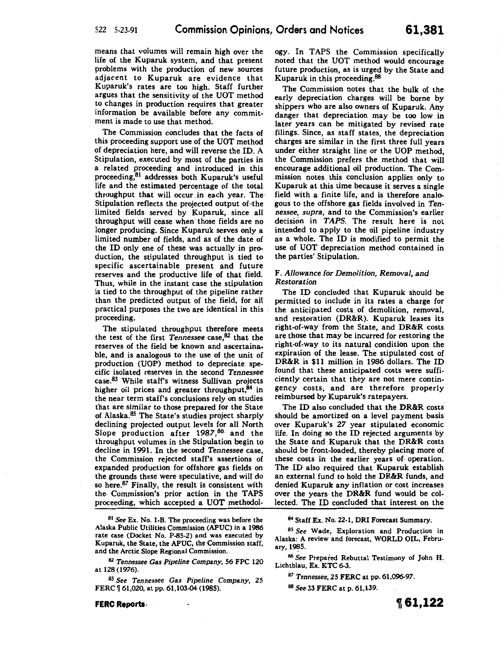means that volumes will remain high over the life of the Kuparuk system, and that present problems with the production of new sources adjacent to Kuparuk are evidence that Kuparuk's rates are too high. Staff further argues that the sensitivity of the UOT method to changes in production requires that greater information be available before any commitment is made to use that method.

The Commission concludes that the facts of this proceeding support use of the UOT method of depreciation here, and will reverse the ID. A Stipulation, executed by most of the parties in a related proceeding and introduced in this proceeding,81 addresses both Kuparuk's useful life and the estimated percentage of the total throughput that will occur in each year. The Stipulation reflects the projected output of the limited fields served by Kuparuk, since all throughput will cease when· those fields are no longer producing. Since Kuparuk serves only a limited number of fields, and as of the date of the ID only one of these was actually in production, the stipulated throughput is tied to specific ascertainable present and future reserves and the productive life of that field. Thus, while in the instant case the stipulation is tied to the throughput of the pipeline rather than the predicted output of the field, for all practical purposes the two are identical in this proceeding.

The stipulated throughput therefore meets the test of the first *Tennessee* case,<sup>82</sup> that the reserves of the field be known and ascertainable, and is analogous to the use of the unit of production (UOP} method to depreciate specific isolated reserves in the second *Tennessee*  case.<sup>83</sup> While staff's witness Sullivan projects higher oil prices and greater throughput,<sup>84</sup> in the near term staff's conclusions rely on studies that are similar to those prepared for the State of Alaska.85 The State's studies project sharply declining projected output levels for all North Slope production after 1987,<sup>86</sup> and the throughput volumes in the Stipulation begin to decline in 1991. In the second *Tennessee* case, the Commission rejected staff's assertions of expanded production for offshore gas fields on the grounds these were speculative, and will do so here.<sup>87</sup> Finally, the result is consistent with the· Commission's prior action in the TAPS proceeding, which accepted a UOT methodol-

81 See Ex. No. 1-B. The proceeding was before the Alaska Public Utilities Commission (APUC) in a 1986 rate case (Docket No. P-85-2) and was executed by Kuparuk, the State, the APUC, the Commission staff, and the Arctic Slope Regional Commission.

82 Tennessee *Gas Pipeline Company,* 56 FPC 120 at 128 (1976).

83 See Tennessee *Gas Pipeline Company,* 25 FERC  $\lceil 61,020$ , at pp. 61,103-04 (1985).

ogy. In TAPS the Commission specifically noted that the UOT method would encourage future production, as is urged by the State and Kuparuk in this proceeding. $88$ 

The Commission notes that the bulk of the early depreciation charges will be borne by shippers who are also owners of Kuparuk. Any danger that depreciation may be too low in later years can be mitigated by revised rate filings. Since, as staff states, the depreciation charges are similar in the first three full years under either straight line or the UOP method, the Commission prefers the method that will encourage additional oil production. The Commission notes this conclusion applies only to Kuparuk at this time because it serves a single field with a finite life, and is therefore analogous to the offshore gas fields involved in *Tennessee, supra,* and to the Commission's earlier decision in *TAPS.* The result here is not intended to apply to the oil pipeline industry as a whole. The ID is modified to permit the use of UOT depreciation method contained in the parties' Stipulation.

### F. Allowance for Demolition, Removal, and *Restoration*

The ID concluded that Kuparuk should be permitted to include in its rates a charge for the anticipated costs of demolition, removal, and restoration (DR&R). Kuparuk leases its right-of-way from the State, and DR&R costs are those that may be incurred for restoring the right-of-way to its natural condition upon the expiration of the lease. The stipulated cost of DR&R is \$11 million in 1986 dollars. The ID found that these anticipated costs were sufficiently certain that they are not mere contingency costs, and are therefore properly reimbursed by Kuparuk's ratepayers.

The ID also concluded that the DR&R costs should be amortized on a level payment basis over Kuparuk's *27* year stipulated economic life. In doing so the ID rejected arguments by the State and· Kuparuk that the DR&R costs should be front-loaded, thereby placing more of these costs in the earlier years of. operation. The ID also required that Kuparuk establish an external fund to hold the DR&R funds, and denied Kuparuk any inflation or cost increases over the years, the DR&R fund would be collected. The ID concluded that interest on the

84 Staff Ex. No. 22-1, DRI Forecast Summary.

85 See Wade, Exploration and Production in Alaska: A review and forecast, WORLD OIL, February, 1985.

86 See Prepared Rebuttal Testimony of John H. Lichtblau, Ex. KTC 6-3.

<sup>87</sup>*Tennessee,* 25 FERC at pp. 61,096-97.

88 See 33 FERC at p. 61,139.

**FERC Reports.**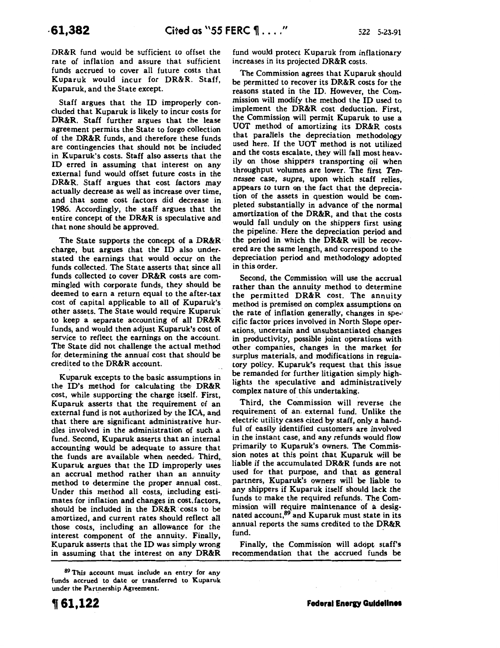DR&R fund would be sufficient to offset the rate of inflation and assure that sufficient funds accrued to cover all future costs that Kuparuk would incur for DR&R. Staff, Kuparuk, and the State except.

Staff argues that the ID improperly concluded that Kuparuk is likely to incur costs for DR&R. Staff further argues that the lease agreement permits the State to forgo collection of the DR&R funds, and therefore these funds are contingencies that should not be included in Kuparuk's costs. Staff also asserts that the ID erred in assuming that interest on any external fund would offset future costs in the DR&R. Staff argues that cost factors may actually decrease as well as increase over time, and that some cost factors did decrease in 1986. Accordingly, the staff argues that the entire concept of the DR&R is speculative and that none should be approved.

The State supports the concept of a DR&R charge, but argues that the ID also understated the earnings that would occur on the funds collected. The State asserts that since all funds collected to cover DR&R costs are commingled with corporate funds, they should be deemed to earn a return equal to the after-tax cost of capital applicable to all of Kuparuk's other assets. The State would require Kuparuk· to keep a separate accounting of all DR&R funds, and would then adjust Kuparuk's cost of service to reflect the earnings on the account. The State did not challenge the actual method for determining the annual cost that should be credited to the DR&R account.

Kuparuk excepts to the basic assumptions in the ID's method for calculating the DR&R cost, while supporting· the charge itself. First, Kuparuk asserts that the requirement of an external fund is not authorized by the ICA, and that there are significant administrative hurdles involved in the administration of such a fund. Second, Kuparuk asserts that an internal accounting would be adequate to assure that the funds are available when needed. Third, Kuparuk argues that the ID improperly uses an accrual method rather than an annuity method to determine the proper annual cost.. Under this method all costs, including estimates for inflation and changes in cost. factors, should be included in the DR&R costs to be amortized, and current rates should reflect all those costs, including an allowance for the interest component of the annuity. Finally Kuparuk asserts that the ID was simply wrong in assuming that the interest on any DR&R

increases in its projected DR&R costs.

The Commission agrees that Kuparuk should be permitted to recover its DR&R costs for the reasons stated in the ID. However, the Commission will modify the method the ID used to implement the DR&R cost deduction. First, the Commission will permit Kuparuk to use a UOT method of amortizing its DR&R costs that parallels the depreciation methodology used here. If the UOT method is not utilized and the costs escalate, they will fall most heavily on those shippers transporting oil when throughput volumes are lower. The first *Tennessee* case, supra, upon which staff relies, appears to turn on the fact that the depreciation of the assets in question would be completed substantially in advance of the normal amortization of the DR&R, and that the costs would fall unduly on the shippers first using the pipeline: Here the depreciation period and the period in which the DR&R will be recovered are the same length, and correspond to the depreciation period and methodology adopted in this order.

fund would protect Kuparuk from inflationary

Second, the Commission will use the accrual rather than the annuity method to determine the permitted DR&R cost. The annuity method is premised on complex assumptions on the rate of inflation generally, changes in spe-' cific factor prices involved in North Slope operations, uncertain and unsubstantiated changes in productivity, possible joint operations with other companies, changes in the market for surplus materials, and modifications in regulatory policy. Kuparuk's request that this issue be remanded for further litigation simply highlights the speculative and administratively complex nature of this undertaking.

Third, the Commission will reverse the requirement of an. external fund. Unlike the electric utility cases cited by staff, only a handful of easily identified customers are involved in the instant case, and any refunds would flow primarily to Kuparuk's owners. The Commission notes at this point that Kuparuk will be liable if the accumulated DR&R funds are not used for that purpose, and that as general partners, Kuparuk's owners will. be liable to any shippers if Kuparuk itself should lack the funds to make the required refunds. The Commission will require maintenance of a designated account, <sup>89</sup> and Kuparuk must state in its annual reports the sums credited to the DR&R fund.

Finally, the Commission will adopt staff's recommendation that the accrued funds be

<sup>89</sup> This account must include an entry for any funds accrued to date or transferred to Kuparuk under the Partnership Agreement.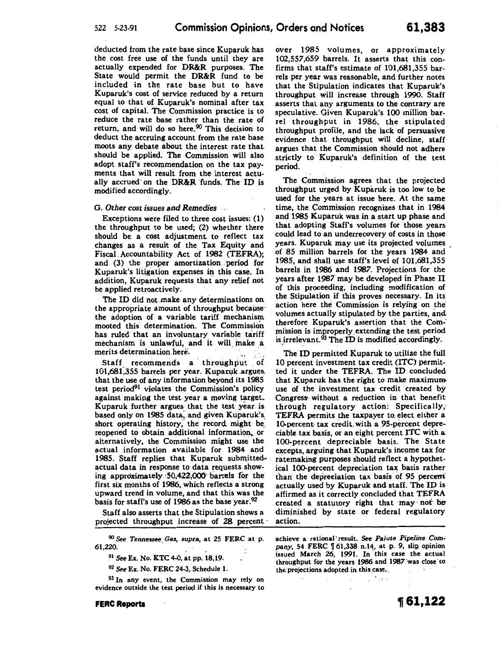deducted from the rate base since Kuparuk has the cost free use of the funds until they are actually expended for DR&R purposes. The State would permit the DR&R fund to be included in the rate base but to have Kuparuk's cost of service reduced by a return equal to that of Kuparuk's nominal after tax cost of capital. The Commission practice is to reduce the rate base rather than the rate of return, and will do so here.<sup>90</sup> This decision to deduct the accruing account from the rate base moots any debate about the interest rate thatshould be applied. The Commission will also adopt staff's recommendation on the tax payments that will result from the interest actually accrued on the DR&R funds. The ID is modified accordingly.

#### G. *Other cost issues and Remedies*

Exceptions were filed to three cost issues: (1) the throughput to be used; (2) whether there should be. a cost adjustment to reflect tax changes as a result of the Tax Equity and Fiscal Accountability Act of 1982 (TEFRA); and (3) the proper amortization . period for Kuparuk's litigation expenses in this case. In addition, Kuparuk requests that· any relief not be applied retroactively.

The ID did not make any determinations on the appropriate amount of throughput because the adoption of a variable tariff mechanism mooted this determination. The Commission has ruled that an involuntary variable tariff mechanism is unlawful, and it will make a merits determination.here.

Staff recommends a throughput of 101,681,355 barrels per year. Kuparuk argues. that the use of any information beyond its 1985 test period<sup>91</sup> violates the Commission's policy against making the test year a moving target. Kuparuk further argues that the test year is based only on 1985 data, and given Kuparuk's. short operating history, the record might be reopened to obtain additional information, or alternatively, the Commission might use the actual information available for 1984. and 1985. Staff replies that Kuparuk submittedactual data in response to data requests showing approximately  $50,422,000$  barrels for the first six months of 1986, which reflects a strong upward trend in volume, and that this was the basis for staff's use of 1986 as the base year.<sup>92</sup>

Staff also asserts that the Stipulation shows a projected throughput increase of 28 percent

<sup>90</sup>*See Tennessee\_ Gas, supra,* at 25 FERC at p. 61,220.

<sup>91</sup>*See* Ex. No. KTC 4-0, at pp. 18,19.

<sup>92</sup>*See* Ex. No. FERC 24-3, Schedule 1.

<sup>93</sup> In any event, the Commission may rely on evidence outside the test period if this is necessary to

FERC Reports

over 1985 volumes, or approximately 102,557,659 barrels. It asserts that this confirms that staff's estimate of 101,681,355 barrels per year was reasonable, and further notes that the Stipulation indicates that Kuparuk's throughput will increase through 1990. Staff asserts that any arguments to the contrary are speculative. Given Kuparuk's 100 million barrel throughput in 1986, the stipulated throughput profile, and the lack of persuasive evidence that throughput will decline, staff argues that the Commission should not adhere strictly to· Kuparuk's definition of the test period.

The Commission agrees that the projected throughput urged by Kuparuk is too low to be used for the years at issue here. At the same time, the Commission recognizes that in 1984 and 1985 Kuparuk was in a start up phase and that adopting Staff's volumes for those years could lead to an underrecovery of costs in those years. Kuparuk may use its projected volumes of 85 million barrels for the years 1984 and ' 1985, and shall use staff's level of 101,681,355 barrels in 1986 and 1987. Projections for the years after 1987 may be developed in Phase II of this proceeding, including modification of the Stipulation if this proves necessary. In its action here the Commission is relying on the volumes actually stipulated by the parties, and therefore Kuparuk's assertion that the Com-mission is improperly\_ extending the test period. is irrelevant.<sup>93</sup> The ID is modified accordingly.

The ID permitted Kuparuk to utilize the full 10 percent investment tax credit (ITC) permitted it under the TEFRA. The ID concludedthat Kuparuk has the right to make maximum use of the investment tax credit created by Congress• without a reduction in that benefit through regulatory action: Specifically, TEFRA permits the taxpayer to. elect either a 10-percent tax credit, with a 95-percent depreciable tax basis, or an eight percent lTC with a 100-percent depreciable basis. The State excepts, arguing that Kuparuk's income tax for ratemaking purposes should reflect a hypothetical 100-percent depreciation tax basis rather than the depreciation tax basis of 95 percent actually used by Kuparuk and staff. The ID is affirmed as it correctly concluded that TEFRA created a statutory right that may not be diminished by state or federal regulatory action.

achieve a rational" result. See *Paiute Pipeline Com*pany, 54 FERC  $\llbracket 61,338 \text{ n.14}, \text{ at p. 9, slip opinion}$ issued March 26, 1991. In this case the actual throughput for the years 1986 and 1987 was close to the projections adopted in this case.